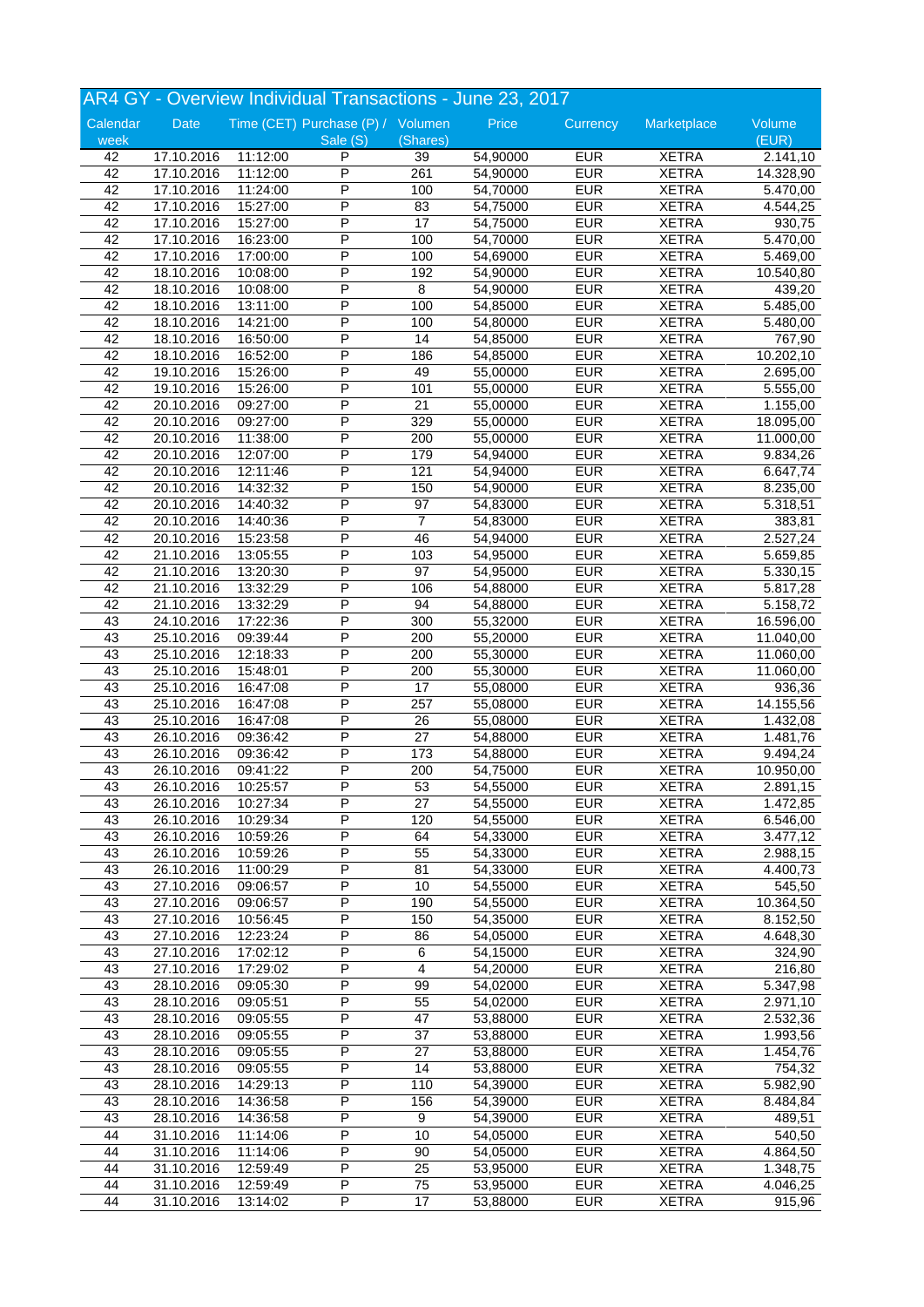|          |            |          |                                   |                 | AR4 GY - Overview Individual Transactions - June 23, 2017 |            |              |           |
|----------|------------|----------|-----------------------------------|-----------------|-----------------------------------------------------------|------------|--------------|-----------|
| Calendar | Date       |          | Time (CET) Purchase (P) / Volumen |                 | Price                                                     | Currency   | Marketplace  | Volume    |
| week     |            |          | Sale (S)                          | (Shares)        |                                                           |            |              | (EUR)     |
| 42       | 17.10.2016 | 11:12:00 | P                                 | 39              | 54,90000                                                  | <b>EUR</b> | <b>XETRA</b> | 2.141,10  |
| 42       | 17.10.2016 | 11:12:00 | $\overline{P}$                    | 261             | 54,90000                                                  | <b>EUR</b> | <b>XETRA</b> | 14.328,90 |
| 42       | 17.10.2016 | 11:24:00 | P                                 | 100             | 54,70000                                                  | <b>EUR</b> | <b>XETRA</b> | 5.470,00  |
| 42       | 17.10.2016 | 15:27:00 | P                                 | 83              | 54,75000                                                  | <b>EUR</b> | <b>XETRA</b> | 4.544,25  |
| 42       | 17.10.2016 | 15:27:00 | P                                 | 17              | 54,75000                                                  | <b>EUR</b> | <b>XETRA</b> | 930,75    |
| 42       | 17.10.2016 | 16:23:00 | P                                 | 100             | 54,70000                                                  | <b>EUR</b> | <b>XETRA</b> | 5.470,00  |
| 42       | 17.10.2016 | 17:00:00 | P                                 | 100             | 54,69000                                                  | <b>EUR</b> | <b>XETRA</b> | 5.469,00  |
| 42       | 18.10.2016 | 10:08:00 | P                                 | 192             | 54,90000                                                  | <b>EUR</b> | <b>XETRA</b> | 10.540,80 |
| 42       | 18.10.2016 | 10:08:00 | P                                 | 8               | 54,90000                                                  | <b>EUR</b> | <b>XETRA</b> | 439,20    |
| 42       | 18.10.2016 | 13:11:00 | Ρ                                 | 100             | 54,85000                                                  | <b>EUR</b> | <b>XETRA</b> | 5.485,00  |
| 42       | 18.10.2016 | 14:21:00 | $\overline{\mathsf{P}}$           | 100             | 54,80000                                                  | <b>EUR</b> | <b>XETRA</b> | 5.480,00  |
| 42       | 18.10.2016 | 16:50:00 | P                                 | 14              | 54,85000                                                  | <b>EUR</b> | <b>XETRA</b> | 767,90    |
| 42       |            |          | P                                 | 186             | 54,85000                                                  | <b>EUR</b> | <b>XETRA</b> | 10.202,10 |
|          | 18.10.2016 | 16:52:00 |                                   |                 |                                                           |            |              |           |
| 42       | 19.10.2016 | 15:26:00 | P                                 | 49              | 55,00000                                                  | <b>EUR</b> | <b>XETRA</b> | 2.695,00  |
| 42       | 19.10.2016 | 15:26:00 | P                                 | 101             | 55,00000                                                  | <b>EUR</b> | <b>XETRA</b> | 5.555,00  |
| 42       | 20.10.2016 | 09:27:00 | P                                 | $\overline{21}$ | 55,00000                                                  | <b>EUR</b> | <b>XETRA</b> | 1.155,00  |
| 42       | 20.10.2016 | 09:27:00 | P                                 | 329             | 55,00000                                                  | <b>EUR</b> | <b>XETRA</b> | 18.095,00 |
| 42       | 20.10.2016 | 11:38:00 | P                                 | 200             | 55,00000                                                  | <b>EUR</b> | <b>XETRA</b> | 11.000,00 |
| 42       | 20.10.2016 | 12:07:00 | P                                 | 179             | 54,94000                                                  | <b>EUR</b> | <b>XETRA</b> | 9.834,26  |
| 42       | 20.10.2016 | 12:11:46 | P                                 | 121             | 54,94000                                                  | <b>EUR</b> | <b>XETRA</b> | 6.647,74  |
| 42       | 20.10.2016 | 14:32:32 | P                                 | 150             | 54,90000                                                  | <b>EUR</b> | <b>XETRA</b> | 8.235,00  |
| 42       | 20.10.2016 | 14:40:32 | P                                 | 97              | 54,83000                                                  | <b>EUR</b> | <b>XETRA</b> | 5.318,51  |
| 42       | 20.10.2016 | 14:40:36 | P                                 | 7               | 54,83000                                                  | <b>EUR</b> | <b>XETRA</b> | 383,81    |
| 42       | 20.10.2016 | 15:23:58 | Ρ                                 | 46              | 54,94000                                                  | <b>EUR</b> | <b>XETRA</b> | 2.527,24  |
| 42       | 21.10.2016 | 13:05:55 | P                                 | 103             | 54,95000                                                  | <b>EUR</b> | <b>XETRA</b> | 5.659,85  |
|          |            |          |                                   |                 |                                                           |            |              |           |
| 42       | 21.10.2016 | 13:20:30 | P                                 | 97              | 54,95000                                                  | <b>EUR</b> | <b>XETRA</b> | 5.330,15  |
| 42       | 21.10.2016 | 13:32:29 | P                                 | 106             | 54,88000                                                  | <b>EUR</b> | <b>XETRA</b> | 5.817,28  |
| 42       | 21.10.2016 | 13:32:29 | P                                 | 94              | 54,88000                                                  | <b>EUR</b> | <b>XETRA</b> | 5.158,72  |
| 43       | 24.10.2016 | 17:22:36 | P                                 | 300             | 55,32000                                                  | <b>EUR</b> | <b>XETRA</b> | 16.596,00 |
| 43       | 25.10.2016 | 09:39:44 | P                                 | 200             | 55,20000                                                  | <b>EUR</b> | <b>XETRA</b> | 11.040,00 |
| 43       | 25.10.2016 | 12:18:33 | P                                 | 200             | 55,30000                                                  | <b>EUR</b> | <b>XETRA</b> | 11.060,00 |
| 43       | 25.10.2016 | 15:48:01 | P                                 | 200             | 55,30000                                                  | <b>EUR</b> | <b>XETRA</b> | 11.060,00 |
| 43       | 25.10.2016 | 16:47:08 | Ρ                                 | 17              | 55,08000                                                  | <b>EUR</b> | <b>XETRA</b> | 936,36    |
| 43       | 25.10.2016 | 16:47:08 | P                                 | 257             | 55,08000                                                  | <b>EUR</b> | <b>XETRA</b> | 14.155,56 |
| 43       | 25.10.2016 | 16:47:08 | P                                 | 26              | 55,08000                                                  | <b>EUR</b> | <b>XETRA</b> | 1.432,08  |
| 43       | 26.10.2016 | 09:36:42 | P                                 | $\overline{27}$ | 54,88000                                                  | <b>EUR</b> | <b>XETRA</b> | 1.481,76  |
| 43       | 26.10.2016 | 09:36:42 | P                                 | 173             | 54,88000                                                  | <b>EUR</b> | <b>XETRA</b> | 9.494,24  |
|          |            |          | P                                 |                 |                                                           |            |              |           |
| 43       | 26.10.2016 | 09:41:22 | $\overline{P}$                    | 200             | 54,75000                                                  | <b>EUR</b> | <b>XETRA</b> | 10.950,00 |
| 43       | 26.10.2016 | 10:25:57 |                                   | 53              | 54,55000                                                  | <b>EUR</b> | <b>XETRA</b> | 2.891,15  |
| 43       | 26.10.2016 | 10:27:34 | P                                 | 27              | 54,55000                                                  | <b>EUR</b> | <b>XETRA</b> | 1.472,85  |
| 43       | 26.10.2016 | 10:29:34 | P                                 | 120             | 54,55000                                                  | <b>EUR</b> | <b>XETRA</b> | 6.546,00  |
| 43       | 26.10.2016 | 10:59:26 | Ρ                                 | 64              | 54,33000                                                  | <b>EUR</b> | <b>XETRA</b> | 3.477,12  |
| 43       | 26.10.2016 | 10:59:26 | P                                 | 55              | 54,33000                                                  | <b>EUR</b> | <b>XETRA</b> | 2.988,15  |
| 43       | 26.10.2016 | 11:00:29 | P                                 | 81              | 54,33000                                                  | <b>EUR</b> | <b>XETRA</b> | 4.400,73  |
| 43       | 27.10.2016 | 09:06:57 | P                                 | 10              | 54,55000                                                  | <b>EUR</b> | <b>XETRA</b> | 545,50    |
| 43       | 27.10.2016 | 09:06:57 | Ρ                                 | 190             | 54,55000                                                  | <b>EUR</b> | <b>XETRA</b> | 10.364,50 |
| 43       | 27.10.2016 | 10:56:45 | Ρ                                 | 150             | 54,35000                                                  | <b>EUR</b> | <b>XETRA</b> | 8.152,50  |
| 43       | 27.10.2016 | 12:23:24 | Ρ                                 | 86              | 54,05000                                                  | <b>EUR</b> | <b>XETRA</b> | 4.648,30  |
| 43       | 27.10.2016 | 17:02:12 | Ρ                                 | 6               | 54,15000                                                  | <b>EUR</b> | <b>XETRA</b> | 324,90    |
| 43       | 27.10.2016 | 17:29:02 | Ρ                                 | 4               | 54,20000                                                  | <b>EUR</b> | <b>XETRA</b> | 216,80    |
| 43       | 28.10.2016 |          | P                                 | 99              | 54,02000                                                  | <b>EUR</b> | <b>XETRA</b> | 5.347,98  |
|          |            | 09:05:30 |                                   |                 |                                                           |            |              |           |
| 43       | 28.10.2016 | 09:05:51 | P                                 | 55              | 54,02000                                                  | <b>EUR</b> | <b>XETRA</b> | 2.971,10  |
| 43       | 28.10.2016 | 09:05:55 | P                                 | 47              | 53,88000                                                  | <b>EUR</b> | <b>XETRA</b> | 2.532,36  |
| 43       | 28.10.2016 | 09:05:55 | P                                 | 37              | 53,88000                                                  | <b>EUR</b> | <b>XETRA</b> | 1.993,56  |
| 43       | 28.10.2016 | 09:05:55 | Ρ                                 | 27              | 53,88000                                                  | <b>EUR</b> | <b>XETRA</b> | 1.454,76  |
| 43       | 28.10.2016 | 09:05:55 | P                                 | 14              | 53,88000                                                  | <b>EUR</b> | <b>XETRA</b> | 754,32    |
| 43       | 28.10.2016 | 14:29:13 | P                                 | 110             | 54,39000                                                  | <b>EUR</b> | <b>XETRA</b> | 5.982,90  |
| 43       | 28.10.2016 | 14:36:58 | Ρ                                 | 156             | 54,39000                                                  | <b>EUR</b> | <b>XETRA</b> | 8.484,84  |
| 43       | 28.10.2016 | 14:36:58 | Ρ                                 | 9               | 54,39000                                                  | <b>EUR</b> | <b>XETRA</b> | 489,51    |
| 44       | 31.10.2016 | 11:14:06 | $\overline{P}$                    | 10              | 54,05000                                                  | <b>EUR</b> | <b>XETRA</b> | 540,50    |
| 44       | 31.10.2016 | 11:14:06 | P                                 | 90              | 54,05000                                                  | <b>EUR</b> | <b>XETRA</b> | 4.864,50  |
| 44       | 31.10.2016 | 12:59:49 | P                                 | 25              | 53,95000                                                  | <b>EUR</b> | <b>XETRA</b> | 1.348,75  |
|          |            |          |                                   |                 |                                                           |            |              |           |
| 44       | 31.10.2016 | 12:59:49 | P                                 | 75              | 53,95000                                                  | <b>EUR</b> | <b>XETRA</b> | 4.046,25  |
| 44       | 31.10.2016 | 13:14:02 | P                                 | 17              | 53,88000                                                  | <b>EUR</b> | <b>XETRA</b> | 915,96    |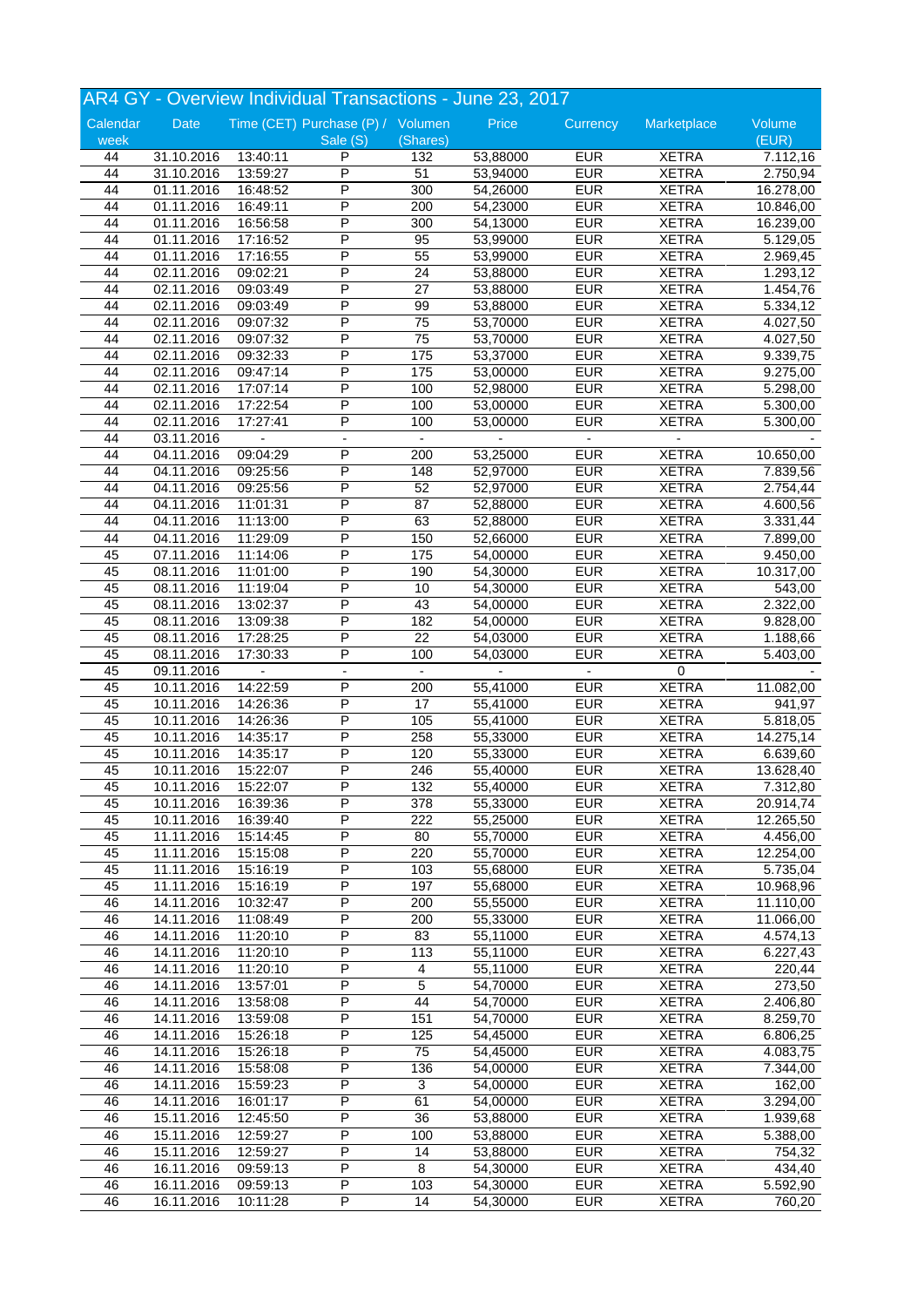|          |             |          | AR4 GY - Overview Individual Transactions - June 23, 2017 |                  |          |                          |              |           |
|----------|-------------|----------|-----------------------------------------------------------|------------------|----------|--------------------------|--------------|-----------|
| Calendar | <b>Date</b> |          | Time (CET) Purchase (P) / Volumen                         |                  | Price    | Currency                 | Marketplace  | Volume    |
| week     |             |          | Sale (S)                                                  | (Shares)         |          |                          |              | (EUR)     |
| 44       | 31.10.2016  | 13:40:11 | P                                                         | 132              | 53,88000 | <b>EUR</b>               | <b>XETRA</b> | 7.112,16  |
| 44       | 31.10.2016  | 13:59:27 | P                                                         | 51               | 53,94000 | <b>EUR</b>               | <b>XETRA</b> | 2.750,94  |
| 44       | 01.11.2016  | 16:48:52 | P                                                         | 300              | 54,26000 | <b>EUR</b>               | <b>XETRA</b> | 16.278,00 |
| 44       | 01.11.2016  | 16:49:11 | P                                                         | 200              | 54,23000 | <b>EUR</b>               | <b>XETRA</b> | 10.846,00 |
| 44       | 01.11.2016  | 16:56:58 | P                                                         | 300              | 54,13000 | <b>EUR</b>               | <b>XETRA</b> | 16.239,00 |
| 44       | 01.11.2016  | 17:16:52 | P                                                         | 95               | 53,99000 | <b>EUR</b>               | <b>XETRA</b> | 5.129,05  |
| 44       | 01.11.2016  | 17:16:55 | P                                                         | 55               | 53,99000 | <b>EUR</b>               | <b>XETRA</b> | 2.969,45  |
| 44       | 02.11.2016  | 09:02:21 | P                                                         | 24               | 53,88000 | <b>EUR</b>               | <b>XETRA</b> | 1.293, 12 |
| 44       | 02.11.2016  | 09:03:49 | P                                                         | 27               | 53,88000 | <b>EUR</b>               | <b>XETRA</b> | 1.454,76  |
| 44       | 02.11.2016  | 09:03:49 | Ρ                                                         | 99               | 53,88000 | <b>EUR</b>               | <b>XETRA</b> | 5.334,12  |
| 44       | 02.11.2016  | 09:07:32 | $\overline{\mathsf{P}}$                                   | 75               | 53,70000 | <b>EUR</b>               | <b>XETRA</b> | 4.027,50  |
| 44       | 02.11.2016  | 09:07:32 | P                                                         | 75               | 53,70000 | <b>EUR</b>               | <b>XETRA</b> | 4.027,50  |
| 44       | 02.11.2016  | 09:32:33 | P                                                         | 175              | 53,37000 | <b>EUR</b>               | <b>XETRA</b> | 9.339,75  |
|          |             |          | P                                                         |                  |          |                          |              |           |
| 44       | 02.11.2016  | 09:47:14 | P                                                         | 175              | 53,00000 | <b>EUR</b><br><b>EUR</b> | <b>XETRA</b> | 9.275,00  |
| 44       | 02.11.2016  | 17:07:14 |                                                           | 100              | 52,98000 |                          | <b>XETRA</b> | 5.298,00  |
| 44       | 02.11.2016  | 17:22:54 | P                                                         | 100              | 53,00000 | <b>EUR</b>               | <b>XETRA</b> | 5.300,00  |
| 44       | 02.11.2016  | 17:27:41 | P                                                         | 100              | 53,00000 | <b>EUR</b>               | <b>XETRA</b> | 5.300,00  |
| 44       | 03.11.2016  |          |                                                           |                  |          |                          |              |           |
| 44       | 04.11.2016  | 09:04:29 | Ρ                                                         | 200              | 53,25000 | <b>EUR</b>               | <b>XETRA</b> | 10.650,00 |
| 44       | 04.11.2016  | 09:25:56 | P                                                         | 148              | 52,97000 | <b>EUR</b>               | <b>XETRA</b> | 7.839,56  |
| 44       | 04.11.2016  | 09:25:56 | P                                                         | 52               | 52,97000 | <b>EUR</b>               | <b>XETRA</b> | 2.754,44  |
| 44       | 04.11.2016  | 11:01:31 | P                                                         | 87               | 52,88000 | <b>EUR</b>               | <b>XETRA</b> | 4.600,56  |
| 44       | 04.11.2016  | 11:13:00 | P                                                         | 63               | 52,88000 | <b>EUR</b>               | <b>XETRA</b> | 3.331,44  |
| 44       | 04.11.2016  | 11:29:09 | P                                                         | 150              | 52,66000 | <b>EUR</b>               | <b>XETRA</b> | 7.899,00  |
| 45       | 07.11.2016  | 11:14:06 | P                                                         | 175              | 54,00000 | <b>EUR</b>               | <b>XETRA</b> | 9.450,00  |
| 45       | 08.11.2016  | 11:01:00 | P                                                         | 190              | 54,30000 | <b>EUR</b>               | <b>XETRA</b> | 10.317,00 |
| 45       | 08.11.2016  | 11:19:04 | P                                                         | 10               | 54,30000 | <b>EUR</b>               | <b>XETRA</b> | 543,00    |
| 45       | 08.11.2016  | 13:02:37 | Ρ                                                         | 43               | 54,00000 | <b>EUR</b>               | <b>XETRA</b> | 2.322,00  |
| 45       | 08.11.2016  | 13:09:38 | P                                                         | 182              | 54,00000 | <b>EUR</b>               | <b>XETRA</b> | 9.828,00  |
| 45       | 08.11.2016  | 17:28:25 | P                                                         | $\overline{22}$  | 54,03000 | <b>EUR</b>               | <b>XETRA</b> | 1.188,66  |
| 45       | 08.11.2016  | 17:30:33 | P                                                         | 100              | 54,03000 | <b>EUR</b>               | <b>XETRA</b> | 5.403,00  |
| 45       | 09.11.2016  |          |                                                           |                  |          |                          | 0            |           |
| 45       | 10.11.2016  | 14:22:59 | P                                                         | 200              | 55,41000 | <b>EUR</b>               | <b>XETRA</b> | 11.082,00 |
| 45       | 10.11.2016  | 14:26:36 | P                                                         | 17               | 55,41000 | <b>EUR</b>               | <b>XETRA</b> | 941,97    |
| 45       | 10.11.2016  | 14:26:36 | P                                                         | 105              | 55,41000 | <b>EUR</b>               | <b>XETRA</b> | 5.818,05  |
| 45       | 10.11.2016  | 14:35:17 | P                                                         | 258              | 55,33000 | <b>EUR</b>               | <b>XETRA</b> | 14.275,14 |
| 45       | 10.11.2016  | 14:35:17 | P                                                         | 120              | 55,33000 | <b>EUR</b>               | <b>XETRA</b> | 6.639,60  |
| 45       | 10.11.2016  | 15:22:07 | P                                                         | 246              | 55,40000 | <b>EUR</b>               | <b>XETRA</b> | 13.628,40 |
| 45       | 10.11.2016  | 15:22:07 | P                                                         | $\overline{132}$ | 55,40000 | <b>EUR</b>               | <b>XETRA</b> | 7.312,80  |
| 45       | 10.11.2016  | 16:39:36 | P                                                         | 378              | 55,33000 | <b>EUR</b>               | <b>XETRA</b> | 20.914,74 |
| 45       | 10.11.2016  | 16:39:40 | P                                                         | 222              | 55,25000 | <b>EUR</b>               | <b>XETRA</b> | 12.265,50 |
| 45       | 11.11.2016  | 15:14:45 | P                                                         | 80               | 55,70000 | <b>EUR</b>               | <b>XETRA</b> | 4.456,00  |
| 45       | 11.11.2016  | 15:15:08 | P                                                         | 220              | 55,70000 | <b>EUR</b>               | <b>XETRA</b> | 12.254,00 |
| 45       | 11.11.2016  |          | Ρ                                                         |                  | 55,68000 | <b>EUR</b>               | <b>XETRA</b> | 5.735,04  |
|          |             | 15:16:19 | Ρ                                                         | 103<br>197       | 55,68000 | <b>EUR</b>               |              |           |
| 45       | 11.11.2016  | 15:16:19 |                                                           |                  |          |                          | <b>XETRA</b> | 10.968,96 |
| 46       | 14.11.2016  | 10:32:47 | $\overline{P}$                                            | 200              | 55,55000 | <b>EUR</b>               | <b>XETRA</b> | 11.110,00 |
| 46       | 14.11.2016  | 11:08:49 | P                                                         | 200              | 55,33000 | <b>EUR</b>               | <b>XETRA</b> | 11.066,00 |
| 46       | 14.11.2016  | 11:20:10 | P                                                         | 83               | 55,11000 | <b>EUR</b>               | <b>XETRA</b> | 4.574,13  |
| 46       | 14.11.2016  | 11:20:10 | P                                                         | 113              | 55,11000 | <b>EUR</b>               | <b>XETRA</b> | 6.227,43  |
| 46       | 14.11.2016  | 11:20:10 | Ρ                                                         | 4                | 55,11000 | <b>EUR</b>               | <b>XETRA</b> | 220,44    |
| 46       | 14.11.2016  | 13:57:01 | Ρ                                                         | 5                | 54,70000 | <b>EUR</b>               | <b>XETRA</b> | 273,50    |
| 46       | 14.11.2016  | 13:58:08 | P                                                         | $\overline{44}$  | 54,70000 | <b>EUR</b>               | <b>XETRA</b> | 2.406,80  |
| 46       | 14.11.2016  | 13:59:08 | Ρ                                                         | 151              | 54,70000 | <b>EUR</b>               | <b>XETRA</b> | 8.259,70  |
| 46       | 14.11.2016  | 15:26:18 | P                                                         | 125              | 54,45000 | <b>EUR</b>               | <b>XETRA</b> | 6.806,25  |
| 46       | 14.11.2016  | 15:26:18 | Ρ                                                         | 75               | 54,45000 | <b>EUR</b>               | <b>XETRA</b> | 4.083,75  |
| 46       | 14.11.2016  | 15:58:08 | P                                                         | 136              | 54,00000 | <b>EUR</b>               | <b>XETRA</b> | 7.344,00  |
| 46       | 14.11.2016  | 15:59:23 | Ρ                                                         | 3                | 54,00000 | <b>EUR</b>               | <b>XETRA</b> | 162,00    |
| 46       | 14.11.2016  | 16:01:17 | Ρ                                                         | 61               | 54,00000 | <b>EUR</b>               | <b>XETRA</b> | 3.294,00  |
| 46       | 15.11.2016  | 12:45:50 | Ρ                                                         | 36               | 53,88000 | <b>EUR</b>               | <b>XETRA</b> | 1.939,68  |
| 46       | 15.11.2016  | 12:59:27 | Ρ                                                         | 100              | 53,88000 | <b>EUR</b>               | <b>XETRA</b> | 5.388,00  |
| 46       | 15.11.2016  | 12:59:27 | P                                                         | 14               | 53,88000 | <b>EUR</b>               | <b>XETRA</b> | 754,32    |
| 46       | 16.11.2016  | 09:59:13 | P                                                         | 8                | 54,30000 | <b>EUR</b>               | <b>XETRA</b> | 434,40    |
| 46       | 16.11.2016  | 09:59:13 | P                                                         | 103              | 54,30000 | <b>EUR</b>               | <b>XETRA</b> | 5.592,90  |
| 46       | 16.11.2016  | 10:11:28 | P                                                         | 14               | 54,30000 | <b>EUR</b>               | <b>XETRA</b> | 760,20    |
|          |             |          |                                                           |                  |          |                          |              |           |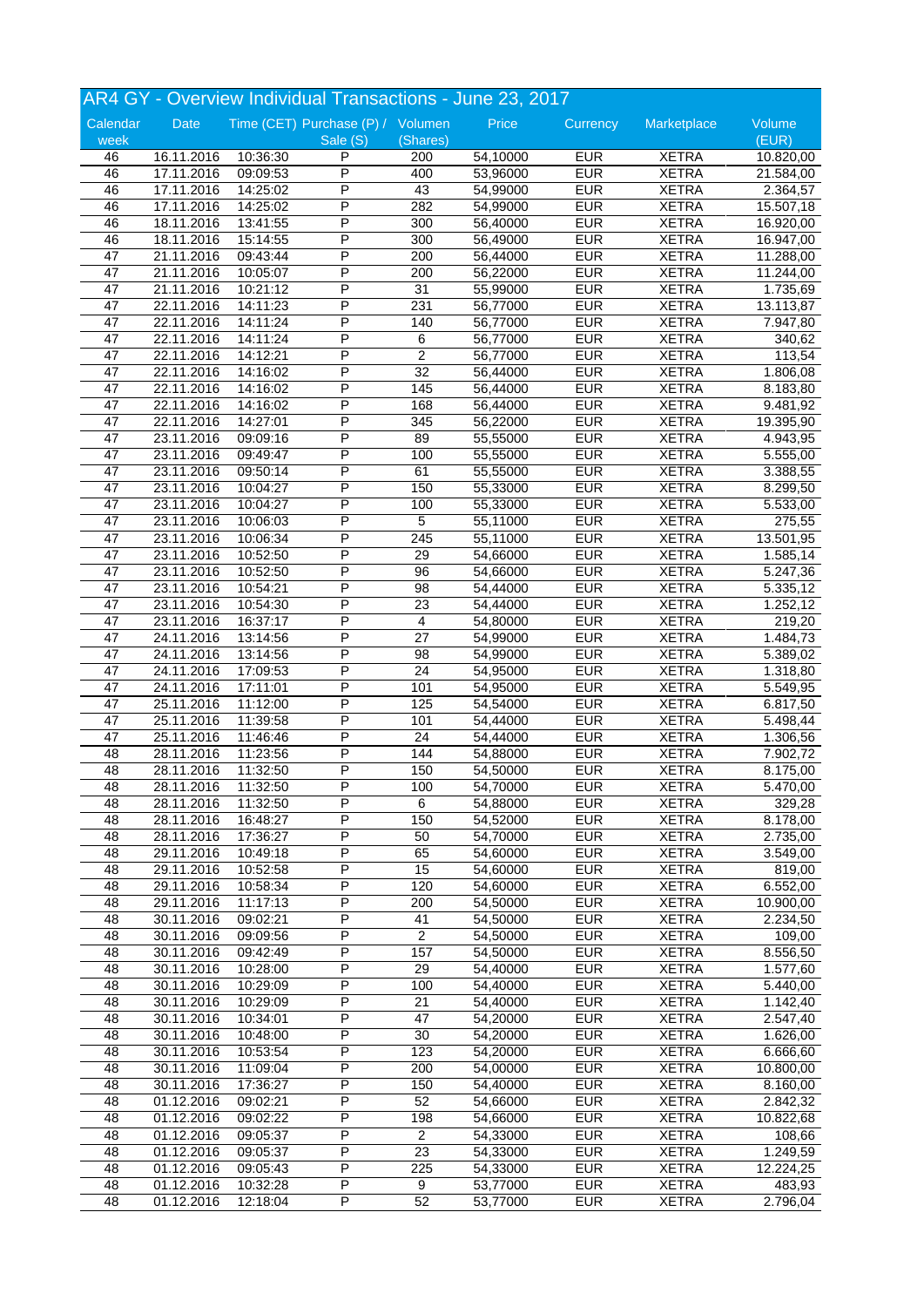|          |                          |                      | AR4 GY - Overview Individual Transactions - June 23, 2017 |                 |                      |            |              |                       |
|----------|--------------------------|----------------------|-----------------------------------------------------------|-----------------|----------------------|------------|--------------|-----------------------|
| Calendar | Date                     |                      | Time (CET) Purchase (P) / Volumen                         |                 | Price                | Currency   | Marketplace  | Volume                |
| week     |                          |                      | Sale (S)                                                  | (Shares)        |                      |            |              | (EUR)                 |
| 46       | 16.11.2016               | 10:36:30             | P                                                         | 200             | 54,10000             | <b>EUR</b> | <b>XETRA</b> | 10.820,00             |
| 46       | 17.11.2016               | 09:09:53             | P                                                         | 400             | 53,96000             | <b>EUR</b> | <b>XETRA</b> | 21.584,00             |
| 46       | 17.11.2016               | 14:25:02             | P                                                         | 43              | 54,99000             | <b>EUR</b> | <b>XETRA</b> | 2.364,57              |
| 46       | 17.11.2016               | 14:25:02             | P                                                         | 282             | 54,99000             | <b>EUR</b> | <b>XETRA</b> | 15.507,18             |
| 46       | 18.11.2016               | 13:41:55             | P                                                         | 300             | 56,40000             | <b>EUR</b> | <b>XETRA</b> | 16.920,00             |
| 46       | 18.11.2016               | 15:14:55             | P                                                         | 300             | 56,49000             | <b>EUR</b> | <b>XETRA</b> | 16.947,00             |
| 47       | 21.11.2016               | 09:43:44             | P                                                         | 200             | 56,44000             | <b>EUR</b> | <b>XETRA</b> | 11.288,00             |
| 47       | 21.11.2016               | 10:05:07             | P                                                         | 200             | 56,22000             | <b>EUR</b> | <b>XETRA</b> | 11.244,00             |
| 47       | 21.11.2016               | 10:21:12             | P                                                         | 31              | 55,99000             | <b>EUR</b> | <b>XETRA</b> | 1.735,69              |
| 47       | 22.11.2016               | 14:11:23             | P                                                         | 231             | 56,77000             | <b>EUR</b> | <b>XETRA</b> | 13.113,87             |
| 47       | 22.11.2016               | 14:11:24             | P                                                         | 140             | 56,77000             | <b>EUR</b> | <b>XETRA</b> | 7.947,80              |
| 47       | 22.11.2016               | 14:11:24             | P                                                         | 6               | 56,77000             | <b>EUR</b> | <b>XETRA</b> | 340,62                |
| 47       | 22.11.2016               | 14:12:21             | P                                                         | $\overline{2}$  | 56,77000             | <b>EUR</b> | <b>XETRA</b> | 113,54                |
| 47       | 22.11.2016               | 14:16:02             | P                                                         | 32              | 56,44000             | <b>EUR</b> | <b>XETRA</b> | 1.806,08              |
| 47       | 22.11.2016               | 14:16:02             | P                                                         | 145             | 56,44000             | <b>EUR</b> | <b>XETRA</b> | 8.183,80              |
| 47       | 22.11.2016               | 14:16:02             | P                                                         | 168             | 56,44000             | <b>EUR</b> | <b>XETRA</b> | 9.481,92              |
| 47       | 22.11.2016               | 14:27:01             | P                                                         | 345             | 56,22000             | <b>EUR</b> | <b>XETRA</b> | 19.395,90             |
| 47       | 23.11.2016               | 09:09:16             | P                                                         | 89              | 55,55000             | <b>EUR</b> | <b>XETRA</b> | 4.943,95              |
| 47       | 23.11.2016               | 09:49:47             | P                                                         | 100             | 55,55000             | <b>EUR</b> | <b>XETRA</b> | 5.555,00              |
| 47       | 23.11.2016               | 09:50:14             | P                                                         | 61              | 55,55000             | <b>EUR</b> | <b>XETRA</b> | 3.388,55              |
| 47       | 23.11.2016               | 10:04:27             | P                                                         | 150             | 55,33000             | <b>EUR</b> | <b>XETRA</b> | 8.299,50              |
| 47       | 23.11.2016               | 10:04:27             | P                                                         | 100             | 55,33000             | <b>EUR</b> | <b>XETRA</b> | 5.533,00              |
| 47       | 23.11.2016               | 10:06:03             | P                                                         | 5               | 55,11000             | <b>EUR</b> | <b>XETRA</b> | 275,55                |
| 47       |                          |                      | Ρ                                                         | 245             |                      | <b>EUR</b> | <b>XETRA</b> |                       |
| 47       | 23.11.2016<br>23.11.2016 | 10:06:34<br>10:52:50 | P                                                         | 29              | 55,11000<br>54,66000 | <b>EUR</b> | <b>XETRA</b> | 13.501,95<br>1.585,14 |
|          |                          |                      | P                                                         |                 |                      | <b>EUR</b> |              |                       |
| 47       | 23.11.2016               | 10:52:50             | P                                                         | 96              | 54,66000             |            | <b>XETRA</b> | 5.247,36              |
| 47       | 23.11.2016               | 10:54:21             |                                                           | 98              | 54,44000             | <b>EUR</b> | <b>XETRA</b> | 5.335,12              |
| 47       | 23.11.2016               | 10:54:30             | P                                                         | 23              | 54,44000             | <b>EUR</b> | <b>XETRA</b> | 1.252,12              |
| 47       | 23.11.2016               | 16:37:17             | P                                                         | $\overline{4}$  | 54,80000             | <b>EUR</b> | <b>XETRA</b> | 219,20                |
| 47       | 24.11.2016               | 13:14:56             | P                                                         | $\overline{27}$ | 54,99000             | <b>EUR</b> | <b>XETRA</b> | 1.484,73              |
| 47       | 24.11.2016               | 13:14:56             | P                                                         | 98              | 54,99000             | <b>EUR</b> | <b>XETRA</b> | 5.389,02              |
| 47       | 24.11.2016               | 17:09:53             | P                                                         | 24              | 54,95000             | <b>EUR</b> | <b>XETRA</b> | 1.318,80              |
| 47       | 24.11.2016               | 17:11:01             | Ρ                                                         | 101             | 54,95000             | <b>EUR</b> | <b>XETRA</b> | 5.549,95              |
| 47       | 25.11.2016               | 11:12:00             | P                                                         | 125             | 54,54000             | <b>EUR</b> | <b>XETRA</b> | 6.817,50              |
| 47       | 25.11.2016               | 11:39:58             | P                                                         | 101             | 54,44000             | <b>EUR</b> | <b>XETRA</b> | 5.498,44              |
| 47       | 25.11.2016               | 11:46:46             | P                                                         | 24              | 54,44000             | <b>EUR</b> | <b>XETRA</b> | 1.306,56              |
| 48       | 28.11.2016               | 11:23:56             | P                                                         | 144             | 54,88000             | <b>EUR</b> | <b>XETRA</b> | 7.902,72              |
| 48       | 28.11.2016               | 11:32:50             | P                                                         | 150             | 54,50000             | <b>EUR</b> | <b>XETRA</b> | 8.175,00              |
| 48       | 28.11.2016               | 11:32:50             | $\overline{P}$                                            | 100             | 54,70000             | <b>EUR</b> | <b>XETRA</b> | 5.470,00              |
| 48       | 28.11.2016               | 11:32:50             | P                                                         | 6               | 54,88000             | <b>EUR</b> | <b>XETRA</b> | 329,28                |
| 48       | 28.11.2016               | 16:48:27             | Ρ                                                         | 150             | 54,52000             | <b>EUR</b> | <b>XETRA</b> | 8.178,00              |
| 48       | 28.11.2016               | 17:36:27             | Ρ                                                         | 50              | 54,70000             | <b>EUR</b> | <b>XETRA</b> | 2.735,00              |
| 48       | 29.11.2016               | 10:49:18             | P                                                         | 65              | 54,60000             | <b>EUR</b> | <b>XETRA</b> | 3.549,00              |
| 48       | 29.11.2016               | 10:52:58             | Ρ                                                         | 15              | 54,60000             | <b>EUR</b> | <b>XETRA</b> | 819,00                |
| 48       | 29.11.2016               | 10:58:34             | P                                                         | 120             | 54,60000             | <b>EUR</b> | <b>XETRA</b> | 6.552,00              |
| 48       | 29.11.2016               | 11:17:13             | Ρ                                                         | 200             | 54,50000             | <b>EUR</b> | <b>XETRA</b> | 10.900,00             |
| 48       | 30.11.2016               | 09:02:21             | P                                                         | 41              | 54,50000             | <b>EUR</b> | <b>XETRA</b> | 2.234,50              |
| 48       | 30.11.2016               | 09:09:56             | Ρ                                                         | $\overline{2}$  | 54,50000             | <b>EUR</b> | <b>XETRA</b> | 109,00                |
| 48       | 30.11.2016               | 09:42:49             | Ρ                                                         | 157             | 54,50000             | <b>EUR</b> | <b>XETRA</b> | 8.556,50              |
| 48       | 30.11.2016               | 10:28:00             | Ρ                                                         | 29              | 54,40000             | <b>EUR</b> | <b>XETRA</b> | 1.577,60              |
| 48       | 30.11.2016               | 10:29:09             | Ρ                                                         | 100             | 54,40000             | <b>EUR</b> | <b>XETRA</b> | 5.440,00              |
| 48       | 30.11.2016               | 10:29:09             | P                                                         | 21              | 54,40000             | <b>EUR</b> | <b>XETRA</b> | 1.142,40              |
| 48       | 30.11.2016               | 10:34:01             | P                                                         | 47              | 54,20000             | <b>EUR</b> | <b>XETRA</b> | 2.547,40              |
| 48       | 30.11.2016               | 10:48:00             | P                                                         | 30              | 54,20000             | <b>EUR</b> | <b>XETRA</b> | 1.626,00              |
| 48       | 30.11.2016               | 10:53:54             | Ρ                                                         | 123             | 54,20000             | <b>EUR</b> | <b>XETRA</b> | 6.666,60              |
| 48       | 30.11.2016               | 11:09:04             | P                                                         | 200             | 54,00000             | <b>EUR</b> | <b>XETRA</b> | 10.800,00             |
| 48       | 30.11.2016               | 17:36:27             | Ρ                                                         | 150             | 54,40000             | <b>EUR</b> | <b>XETRA</b> | 8.160,00              |
| 48       | 01.12.2016               | 09:02:21             | Ρ                                                         | 52              | 54,66000             | <b>EUR</b> | <b>XETRA</b> | 2.842,32              |
| 48       | 01.12.2016               | 09:02:22             | Ρ                                                         | 198             | 54,66000             | <b>EUR</b> | <b>XETRA</b> | 10.822,68             |
| 48       | 01.12.2016               | 09:05:37             | Ρ                                                         | $\overline{2}$  | 54,33000             | <b>EUR</b> | <b>XETRA</b> | 108,66                |
| 48       | 01.12.2016               | 09:05:37             | P                                                         | 23              | 54,33000             | <b>EUR</b> | <b>XETRA</b> | 1.249,59              |
| 48       | 01.12.2016               | 09:05:43             | P                                                         | 225             | 54,33000             | <b>EUR</b> | <b>XETRA</b> | 12.224,25             |
| 48       | 01.12.2016               | 10:32:28             | Ρ                                                         | 9               | 53,77000             | <b>EUR</b> | <b>XETRA</b> | 483,93                |
| 48       | 01.12.2016               | 12:18:04             | P                                                         | 52              | 53,77000             | <b>EUR</b> | <b>XETRA</b> | 2.796,04              |
|          |                          |                      |                                                           |                 |                      |            |              |                       |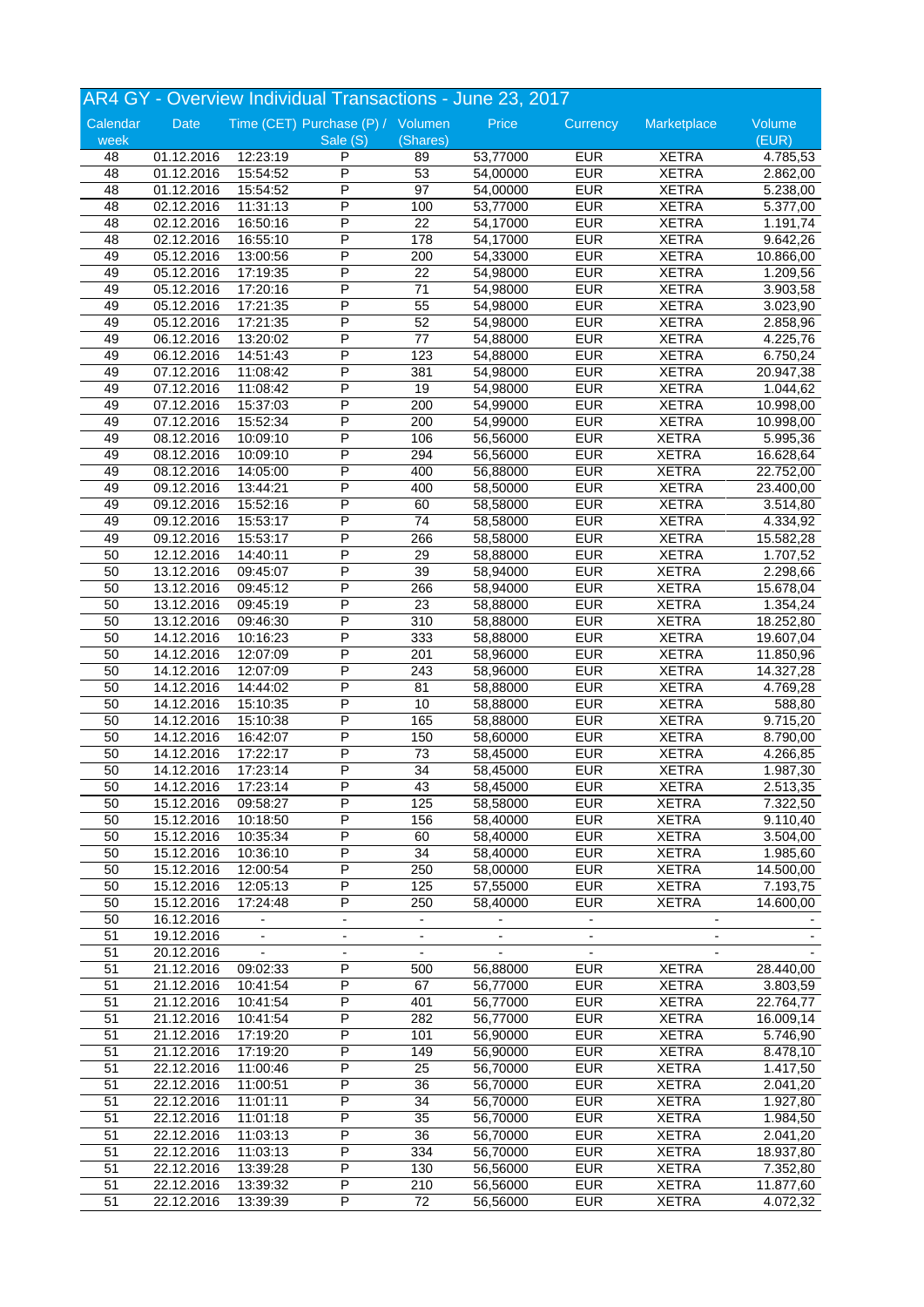|                 |            |                          | AR4 GY - Overview Individual Transactions - June 23, 2017 |                          |                |                          |                          |           |
|-----------------|------------|--------------------------|-----------------------------------------------------------|--------------------------|----------------|--------------------------|--------------------------|-----------|
| Calendar        | Date       |                          | Time (CET) Purchase (P) / Volumen                         |                          | Price          | Currency                 | Marketplace              | Volume    |
| week            |            |                          | Sale (S)                                                  | (Shares)                 |                |                          |                          | (EUR)     |
| 48              | 01.12.2016 | 12:23:19                 | P                                                         | 89                       | 53,77000       | <b>EUR</b>               | <b>XETRA</b>             | 4.785,53  |
| 48              | 01.12.2016 | 15:54:52                 | P                                                         | 53                       | 54,00000       | <b>EUR</b>               | <b>XETRA</b>             | 2.862,00  |
| 48              | 01.12.2016 | 15:54:52                 | P                                                         | $\overline{97}$          | 54,00000       | <b>EUR</b>               | <b>XETRA</b>             | 5.238,00  |
| 48              | 02.12.2016 | 11:31:13                 | P                                                         | 100                      | 53,77000       | <b>EUR</b>               | <b>XETRA</b>             | 5.377,00  |
| 48              | 02.12.2016 | 16:50:16                 | P                                                         | 22                       | 54,17000       | <b>EUR</b>               | <b>XETRA</b>             | 1.191,74  |
| 48              | 02.12.2016 | 16:55:10                 | P                                                         | 178                      | 54,17000       | <b>EUR</b>               | <b>XETRA</b>             | 9.642,26  |
| 49              | 05.12.2016 | 13:00:56                 | P                                                         | 200                      | 54,33000       | EUR                      | <b>XETRA</b>             | 10.866,00 |
| 49              | 05.12.2016 | 17:19:35                 | P                                                         | 22                       | 54,98000       | <b>EUR</b>               | <b>XETRA</b>             | 1.209,56  |
| 49              | 05.12.2016 | 17:20:16                 | P                                                         | 71                       | 54,98000       | <b>EUR</b>               | <b>XETRA</b>             | 3.903,58  |
| 49              | 05.12.2016 | 17:21:35                 | P                                                         | 55                       | 54,98000       | <b>EUR</b>               | <b>XETRA</b>             | 3.023,90  |
| 49              | 05.12.2016 | 17:21:35                 | P                                                         | 52                       | 54,98000       | <b>EUR</b>               | <b>XETRA</b>             | 2.858,96  |
| 49              | 06.12.2016 | 13:20:02                 | P                                                         | $\overline{77}$          | 54,88000       | <b>EUR</b>               | <b>XETRA</b>             | 4.225,76  |
| 49              | 06.12.2016 | 14:51:43                 | P                                                         | 123                      | 54,88000       | <b>EUR</b>               | <b>XETRA</b>             | 6.750,24  |
| 49              | 07.12.2016 | 11:08:42                 | P                                                         | 381                      | 54,98000       | <b>EUR</b>               | <b>XETRA</b>             | 20.947,38 |
| 49              | 07.12.2016 | 11:08:42                 | P                                                         | 19                       | 54,98000       | <b>EUR</b>               | <b>XETRA</b>             | 1.044,62  |
| 49              | 07.12.2016 | 15:37:03                 | P                                                         | 200                      | 54,99000       | <b>EUR</b>               | <b>XETRA</b>             | 10.998,00 |
| 49              | 07.12.2016 | 15:52:34                 | P                                                         | 200                      | 54,99000       | <b>EUR</b>               | <b>XETRA</b>             | 10.998,00 |
| 49              | 08.12.2016 | 10:09:10                 | P                                                         | 106                      | 56,56000       | <b>EUR</b>               | <b>XETRA</b>             | 5.995,36  |
| 49              | 08.12.2016 | 10:09:10                 | P                                                         | 294                      | 56,56000       | <b>EUR</b>               | <b>XETRA</b>             | 16.628,64 |
| 49              | 08.12.2016 | 14:05:00                 | P                                                         | 400                      | 56,88000       | <b>EUR</b>               | <b>XETRA</b>             | 22.752,00 |
| 49              | 09.12.2016 | 13:44:21                 | P                                                         | 400                      | 58,50000       | <b>EUR</b>               | <b>XETRA</b>             | 23.400,00 |
| 49              | 09.12.2016 | 15:52:16                 | P                                                         | 60                       | 58,58000       | <b>EUR</b>               | <b>XETRA</b>             | 3.514,80  |
| 49              | 09.12.2016 |                          | P                                                         | 74                       | 58,58000       | <b>EUR</b>               | <b>XETRA</b>             |           |
|                 |            | 15:53:17                 |                                                           |                          |                | <b>EUR</b>               | <b>XETRA</b>             | 4.334,92  |
| 49              | 09.12.2016 | 15:53:17                 | Ρ<br>P                                                    | 266                      | 58,58000       |                          |                          | 15.582,28 |
| 50              | 12.12.2016 | 14:40:11                 |                                                           | 29                       | 58,88000       | <b>EUR</b>               | <b>XETRA</b>             | 1.707,52  |
| 50              | 13.12.2016 | 09:45:07                 | P                                                         | 39                       | 58,94000       | <b>EUR</b>               | <b>XETRA</b>             | 2.298,66  |
| 50              | 13.12.2016 | 09:45:12                 | P                                                         | 266                      | 58,94000       | <b>EUR</b>               | <b>XETRA</b>             | 15.678,04 |
| 50              | 13.12.2016 | 09:45:19                 | P                                                         | 23                       | 58,88000       | <b>EUR</b>               | <b>XETRA</b>             | 1.354,24  |
| 50              | 13.12.2016 | 09:46:30                 | P                                                         | 310                      | 58,88000       | <b>EUR</b>               | <b>XETRA</b>             | 18.252,80 |
| 50              | 14.12.2016 | 10:16:23                 | P                                                         | 333                      | 58,88000       | <b>EUR</b>               | <b>XETRA</b>             | 19.607,04 |
| 50              | 14.12.2016 | 12:07:09                 | P                                                         | 201                      | 58,96000       | <b>EUR</b>               | <b>XETRA</b>             | 11.850,96 |
| 50              | 14.12.2016 | 12:07:09                 | P                                                         | 243                      | 58,96000       | <b>EUR</b>               | <b>XETRA</b>             | 14.327,28 |
| 50              | 14.12.2016 | 14:44:02                 | P                                                         | 81                       | 58,88000       | <b>EUR</b>               | <b>XETRA</b>             | 4.769,28  |
| 50              | 14.12.2016 | 15:10:35                 | P                                                         | 10                       | 58,88000       | <b>EUR</b>               | <b>XETRA</b>             | 588,80    |
| 50              | 14.12.2016 | 15:10:38                 | P                                                         | 165                      | 58,88000       | <b>EUR</b>               | <b>XETRA</b>             | 9.715,20  |
| 50              | 14.12.2016 | 16:42:07                 | P                                                         | 150                      | 58,60000       | <b>EUR</b>               | <b>XETRA</b>             | 8.790,00  |
| 50              | 14.12.2016 | 17:22:17                 | P                                                         | 73                       | 58,45000       | <b>EUR</b>               | <b>XETRA</b>             | 4.266,85  |
| 50              | 14.12.2016 | 17:23:14                 | P                                                         | 34                       | 58,45000       | <b>EUR</b>               | <b>XETRA</b>             | 1.987,30  |
| 50              | 14.12.2016 | 17:23:14                 | $\overline{P}$                                            | 43                       | 58,45000       | <b>EUR</b>               | <b>XETRA</b>             | 2.513,35  |
| 50              | 15.12.2016 | 09:58:27                 | P                                                         | 125                      | 58,58000       | <b>EUR</b>               | <b>XETRA</b>             | 7.322,50  |
| 50              | 15.12.2016 | 10:18:50                 | Ρ                                                         | 156                      | 58,40000       | <b>EUR</b>               | <b>XETRA</b>             | 9.110,40  |
| 50              | 15.12.2016 | 10:35:34                 | Ρ                                                         | 60                       | 58,40000       | <b>EUR</b>               | <b>XETRA</b>             | 3.504,00  |
| 50              | 15.12.2016 | 10:36:10                 | P                                                         | 34                       | 58,40000       | <b>EUR</b>               | <b>XETRA</b>             | 1.985,60  |
| 50              | 15.12.2016 | 12:00:54                 | Ρ                                                         | 250                      | 58,00000       | <b>EUR</b>               | <b>XETRA</b>             | 14.500,00 |
| 50              | 15.12.2016 | 12:05:13                 | P                                                         | 125                      | 57,55000       | <b>EUR</b>               | <b>XETRA</b>             | 7.193,75  |
| 50              | 15.12.2016 | 17:24:48                 | P                                                         | 250                      | 58,40000       | <b>EUR</b>               | <b>XETRA</b>             | 14.600,00 |
| 50              | 16.12.2016 | $\blacksquare$           | $\overline{\phantom{a}}$                                  | $\overline{\phantom{a}}$ |                | $\overline{\phantom{0}}$ | $\overline{\phantom{a}}$ |           |
| $\overline{51}$ | 19.12.2016 |                          |                                                           |                          |                |                          |                          |           |
| 51              | 20.12.2016 | $\overline{\phantom{a}}$ | $\overline{\phantom{a}}$                                  | $\overline{\phantom{a}}$ | $\blacksquare$ | $\overline{\phantom{a}}$ | $\overline{\phantom{a}}$ |           |
| 51              | 21.12.2016 | 09:02:33                 | Ρ                                                         | 500                      | 56,88000       | <b>EUR</b>               | <b>XETRA</b>             | 28.440,00 |
| 51              | 21.12.2016 | 10:41:54                 | Ρ                                                         | 67                       | 56,77000       | <b>EUR</b>               | <b>XETRA</b>             | 3.803,59  |
| 51              |            | 10:41:54                 | P                                                         | 401                      | 56,77000       | EUR                      | <b>XETRA</b>             |           |
|                 | 21.12.2016 |                          | P                                                         |                          |                | <b>EUR</b>               |                          | 22.764,77 |
| 51              | 21.12.2016 | 10:41:54                 |                                                           | 282                      | 56,77000       |                          | <b>XETRA</b>             | 16.009,14 |
| 51              | 21.12.2016 | 17:19:20                 | P                                                         | 101                      | 56,90000       | <b>EUR</b>               | <b>XETRA</b>             | 5.746,90  |
| 51              | 21.12.2016 | 17:19:20                 | Ρ                                                         | 149                      | 56,90000       | <b>EUR</b>               | <b>XETRA</b>             | 8.478,10  |
| 51              | 22.12.2016 | 11:00:46                 | Ρ                                                         | 25                       | 56,70000       | <b>EUR</b>               | <b>XETRA</b>             | 1.417,50  |
| 51              | 22.12.2016 | 11:00:51                 | P                                                         | 36                       | 56,70000       | <b>EUR</b>               | <b>XETRA</b>             | 2.041,20  |
| 51              | 22.12.2016 | 11:01:11                 | Ρ                                                         | 34                       | 56,70000       | <b>EUR</b>               | <b>XETRA</b>             | 1.927,80  |
| 51              | 22.12.2016 | 11:01:18                 | P                                                         | 35                       | 56,70000       | <b>EUR</b>               | <b>XETRA</b>             | 1.984,50  |
| 51              | 22.12.2016 | 11:03:13                 | Ρ                                                         | 36                       | 56,70000       | <b>EUR</b>               | <b>XETRA</b>             | 2.041,20  |
| 51              | 22.12.2016 | 11:03:13                 | P                                                         | 334                      | 56,70000       | <b>EUR</b>               | <b>XETRA</b>             | 18.937,80 |
| 51              | 22.12.2016 | 13:39:28                 | P                                                         | 130                      | 56,56000       | EUR                      | <b>XETRA</b>             | 7.352,80  |
| 51              | 22.12.2016 | 13:39:32                 | Ρ                                                         | 210                      | 56,56000       | <b>EUR</b>               | <b>XETRA</b>             | 11.877,60 |
| 51              | 22.12.2016 | 13:39:39                 | P                                                         | 72                       | 56,56000       | <b>EUR</b>               | <b>XETRA</b>             | 4.072,32  |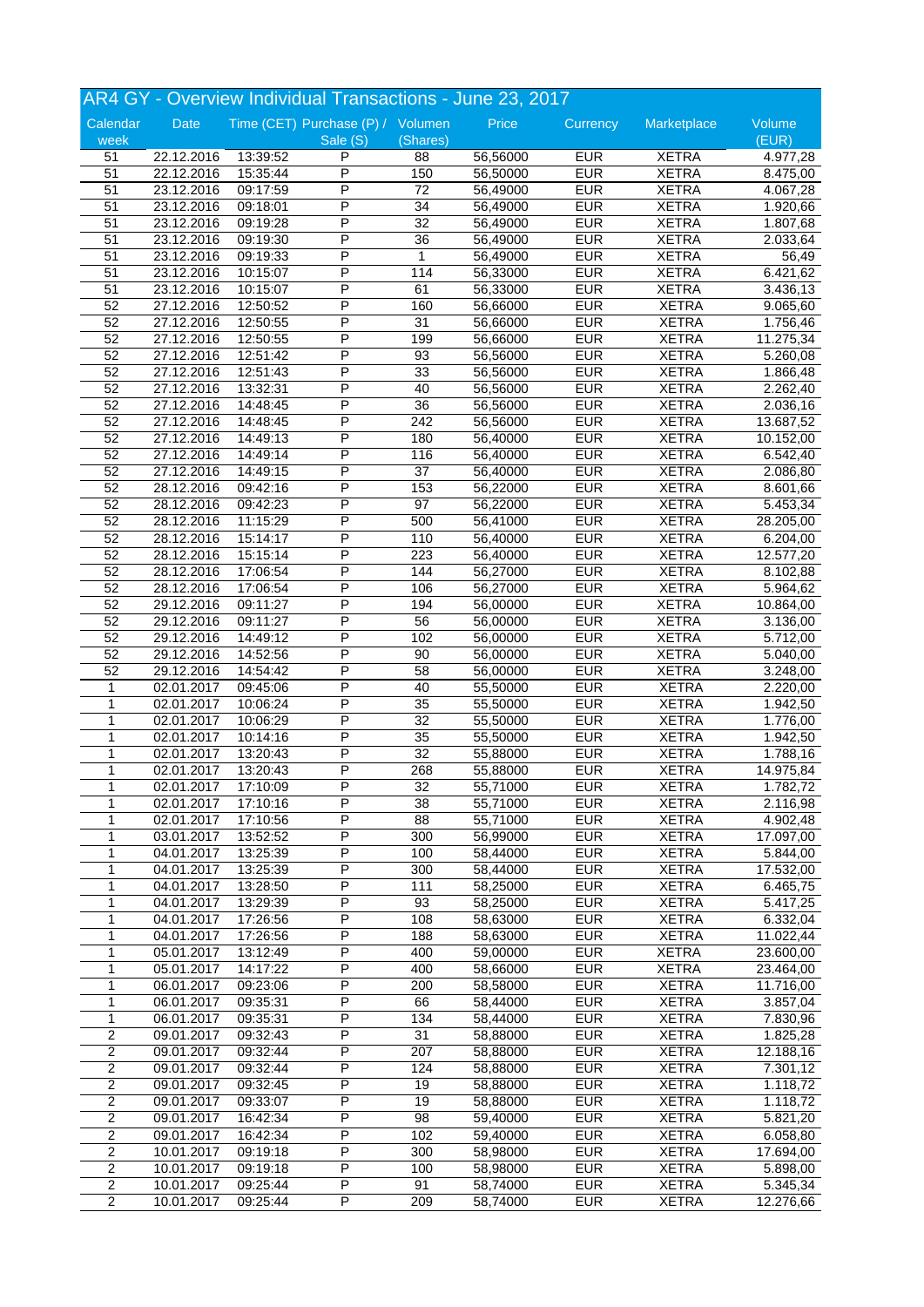|                     |            |          | AR4 GY - Overview Individual Transactions - June 23, 2017 |                 |                      |            |              |                 |
|---------------------|------------|----------|-----------------------------------------------------------|-----------------|----------------------|------------|--------------|-----------------|
| Calendar<br>week    | Date       |          | Time (CET) Purchase (P) / Volumen<br>Sale (S)             | (Shares)        | Price                | Currency   | Marketplace  | Volume<br>(EUR) |
| 51                  | 22.12.2016 | 13:39:52 | P                                                         | 88              | 56,56000             | <b>EUR</b> | <b>XETRA</b> | 4.977,28        |
| $\overline{51}$     | 22.12.2016 | 15:35:44 | $\overline{\mathsf{P}}$                                   | 150             | 56,50000             | <b>EUR</b> | <b>XETRA</b> | 8.475,00        |
| 51                  | 23.12.2016 | 09:17:59 | P                                                         | $\overline{72}$ | 56,49000             | <b>EUR</b> | <b>XETRA</b> | 4.067,28        |
| 51                  | 23.12.2016 | 09:18:01 | P                                                         | 34              | 56,49000             | <b>EUR</b> | <b>XETRA</b> | 1.920,66        |
| 51                  | 23.12.2016 | 09:19:28 | P                                                         | 32              | 56,49000             | <b>EUR</b> | <b>XETRA</b> | 1.807,68        |
| 51                  | 23.12.2016 | 09:19:30 | P                                                         | 36              | 56,49000             | <b>EUR</b> | <b>XETRA</b> | 2.033,64        |
| 51                  | 23.12.2016 | 09:19:33 | P                                                         | $\mathbf{1}$    | 56,49000             | <b>EUR</b> | <b>XETRA</b> | 56,49           |
| 51                  | 23.12.2016 | 10:15:07 | P                                                         | 114             | 56,33000             | <b>EUR</b> | <b>XETRA</b> | 6.421,62        |
| 51                  | 23.12.2016 | 10:15:07 | Ρ                                                         | 61              | 56,33000             | <b>EUR</b> | <b>XETRA</b> | 3.436,13        |
| 52                  | 27.12.2016 | 12:50:52 | P                                                         | 160             | 56,66000             | <b>EUR</b> | <b>XETRA</b> | 9.065,60        |
| 52                  | 27.12.2016 | 12:50:55 | P                                                         | 31              | 56,66000             | <b>EUR</b> | <b>XETRA</b> | 1.756,46        |
| 52                  | 27.12.2016 | 12:50:55 | P                                                         | 199             | 56,66000             | <b>EUR</b> | <b>XETRA</b> | 11.275,34       |
| 52                  | 27.12.2016 | 12:51:42 | P                                                         | 93              | 56,56000             | <b>EUR</b> | <b>XETRA</b> | 5.260,08        |
| 52                  | 27.12.2016 | 12:51:43 | P                                                         | 33              | 56,56000             | <b>EUR</b> | <b>XETRA</b> | 1.866,48        |
| 52                  | 27.12.2016 | 13:32:31 | P                                                         | 40              | 56,56000             | <b>EUR</b> | <b>XETRA</b> | 2.262,40        |
| 52                  | 27.12.2016 |          | P                                                         | 36              | 56,56000             | <b>EUR</b> | <b>XETRA</b> |                 |
| 52                  |            | 14:48:45 | P                                                         |                 |                      | <b>EUR</b> | <b>XETRA</b> | 2.036,16        |
|                     | 27.12.2016 | 14:48:45 | P                                                         | 242             | 56,56000             |            |              | 13.687,52       |
| 52                  | 27.12.2016 | 14:49:13 |                                                           | 180             | 56,40000             | <b>EUR</b> | <b>XETRA</b> | 10.152,00       |
| 52                  | 27.12.2016 | 14:49:14 | P                                                         | 116             | 56,40000             | <b>EUR</b> | <b>XETRA</b> | 6.542,40        |
| 52                  | 27.12.2016 | 14:49:15 | P                                                         | 37              | 56,40000             | <b>EUR</b> | <b>XETRA</b> | 2.086,80        |
| 52                  | 28.12.2016 | 09:42:16 | P                                                         | 153             | 56,22000             | <b>EUR</b> | <b>XETRA</b> | 8.601,66        |
| 52                  | 28.12.2016 | 09:42:23 | P                                                         | 97              | 56,22000             | <b>EUR</b> | <b>XETRA</b> | 5.453,34        |
| 52                  | 28.12.2016 | 11:15:29 | P                                                         | 500             | 56,41000             | <b>EUR</b> | <b>XETRA</b> | 28.205,00       |
| 52                  | 28.12.2016 | 15:14:17 | Ρ                                                         | 110             | 56,40000             | <b>EUR</b> | <b>XETRA</b> | 6.204,00        |
| 52                  | 28.12.2016 | 15:15:14 | P                                                         | 223             | 56,40000             | <b>EUR</b> | <b>XETRA</b> | 12.577,20       |
| 52                  | 28.12.2016 | 17:06:54 | P                                                         | 144             | 56,27000             | <b>EUR</b> | <b>XETRA</b> | 8.102,88        |
| 52                  | 28.12.2016 | 17:06:54 | P                                                         | 106             | 56,27000             | <b>EUR</b> | <b>XETRA</b> | 5.964,62        |
| 52                  | 29.12.2016 | 09:11:27 | P                                                         | 194             | 56,00000             | <b>EUR</b> | <b>XETRA</b> | 10.864,00       |
| 52                  | 29.12.2016 | 09:11:27 | P                                                         | 56              | 56,00000             | <b>EUR</b> | <b>XETRA</b> | 3.136,00        |
| 52                  | 29.12.2016 | 14:49:12 | P                                                         | 102             | 56,00000             | <b>EUR</b> | <b>XETRA</b> | 5.712,00        |
| 52                  | 29.12.2016 | 14:52:56 | P                                                         | 90              | 56,00000             | <b>EUR</b> | <b>XETRA</b> | 5.040,00        |
| 52                  | 29.12.2016 | 14:54:42 | P                                                         | 58              | 56,00000             | <b>EUR</b> | <b>XETRA</b> | 3.248,00        |
| 1                   | 02.01.2017 | 09:45:06 | Ρ                                                         | 40              | 55,50000             | <b>EUR</b> | <b>XETRA</b> | 2.220,00        |
| $\mathbf{1}$        | 02.01.2017 | 10:06:24 | $\overline{\mathsf{P}}$                                   | $\overline{35}$ | 55,50000             | <b>EUR</b> | <b>XETRA</b> | 1.942,50        |
| 1                   | 02.01.2017 | 10:06:29 | P                                                         | 32              | 55,50000             | <b>EUR</b> | <b>XETRA</b> | 1.776,00        |
| 1                   | 02.01.2017 | 10:14:16 | P                                                         | 35              | 55,50000             | <b>EUR</b> | <b>XETRA</b> | 1.942,50        |
| 1                   | 02.01.2017 | 13:20:43 | P                                                         | 32              | 55,88000             | <b>EUR</b> | <b>XETRA</b> | 1.788,16        |
| 1                   | 02.01.2017 | 13:20:43 | P                                                         | 268             | 55,88000             | <b>EUR</b> | <b>XETRA</b> | 14.975,84       |
| 1                   | 02.01.2017 | 17:10:09 | $\overline{P}$                                            | $\overline{32}$ | 55,71000             | <b>EUR</b> | <b>XETRA</b> | 1.782,72        |
| 1                   | 02.01.2017 | 17:10:16 | P                                                         | 38              | 55,71000             | <b>EUR</b> | <b>XETRA</b> | 2.116,98        |
| 1                   | 02.01.2017 | 17:10:56 | Ρ                                                         | 88              | 55,71000             | <b>EUR</b> | <b>XETRA</b> | 4.902,48        |
| 1                   | 03.01.2017 | 13:52:52 | Ρ                                                         | 300             | 56,99000             | <b>EUR</b> | <b>XETRA</b> | 17.097,00       |
| $\mathbf{1}$        | 04.01.2017 | 13:25:39 | P                                                         | 100             | 58,44000             | <b>EUR</b> | <b>XETRA</b> | 5.844,00        |
| 1                   | 04.01.2017 | 13:25:39 | Ρ                                                         | 300             | 58,44000             | <b>EUR</b> | <b>XETRA</b> | 17.532,00       |
| 1                   | 04.01.2017 | 13:28:50 | P                                                         | 111             | 58,25000             | <b>EUR</b> | <b>XETRA</b> | 6.465,75        |
| 1                   | 04.01.2017 | 13:29:39 | Ρ                                                         | 93              | 58,25000             | <b>EUR</b> | <b>XETRA</b> | 5.417,25        |
| 1                   | 04.01.2017 | 17:26:56 | Ρ                                                         | 108             | 58,63000             | <b>EUR</b> | <b>XETRA</b> | 6.332,04        |
| 1                   | 04.01.2017 | 17:26:56 | Ρ                                                         | 188             | 58,63000             | <b>EUR</b> | <b>XETRA</b> | 11.022,44       |
| 1                   | 05.01.2017 | 13:12:49 | Ρ                                                         | 400             | 59,00000             | <b>EUR</b> | <b>XETRA</b> | 23.600,00       |
| 1                   | 05.01.2017 | 14:17:22 | Ρ                                                         | 400             | 58,66000             | <b>EUR</b> | <b>XETRA</b> | 23.464,00       |
| 1                   | 06.01.2017 | 09:23:06 | Ρ                                                         | 200             | 58,58000             | <b>EUR</b> | <b>XETRA</b> | 11.716,00       |
| $\mathbf{1}$        | 06.01.2017 | 09:35:31 | P                                                         | 66              | 58,44000             | <b>EUR</b> | <b>XETRA</b> | 3.857,04        |
| $\mathbf{1}$        | 06.01.2017 | 09:35:31 | P                                                         | 134             | 58,44000             | <b>EUR</b> | <b>XETRA</b> | 7.830,96        |
| $\overline{2}$      | 09.01.2017 | 09:32:43 | P                                                         | 31              | 58,88000             | <b>EUR</b> | <b>XETRA</b> | 1.825,28        |
|                     | 09.01.2017 | 09:32:44 | Ρ                                                         | 207             | 58,88000             | <b>EUR</b> | <b>XETRA</b> | 12.188,16       |
| 2<br>$\overline{2}$ |            |          | P                                                         | 124             |                      | <b>EUR</b> | <b>XETRA</b> |                 |
| $\overline{c}$      | 09.01.2017 | 09:32:44 | P                                                         | 19              | 58,88000<br>58,88000 | <b>EUR</b> |              | 7.301,12        |
|                     | 09.01.2017 | 09:32:45 |                                                           |                 |                      |            | <b>XETRA</b> | 1.118,72        |
| $\boldsymbol{2}$    | 09.01.2017 | 09:33:07 | Ρ                                                         | 19              | 58,88000             | <b>EUR</b> | <b>XETRA</b> | 1.118,72        |
| $\overline{2}$      | 09.01.2017 | 16:42:34 | P                                                         | 98              | 59,40000             | <b>EUR</b> | <b>XETRA</b> | 5.821,20        |
| $\sqrt{2}$          | 09.01.2017 | 16:42:34 | Ρ                                                         | 102             | 59,40000             | <b>EUR</b> | <b>XETRA</b> | 6.058,80        |
| $\overline{2}$      | 10.01.2017 | 09:19:18 | P                                                         | 300             | 58,98000             | <b>EUR</b> | <b>XETRA</b> | 17.694,00       |
| $\sqrt{2}$          | 10.01.2017 | 09:19:18 | P                                                         | 100             | 58,98000             | <b>EUR</b> | <b>XETRA</b> | 5.898,00        |
| $\boldsymbol{2}$    | 10.01.2017 | 09:25:44 | P                                                         | 91              | 58,74000             | <b>EUR</b> | <b>XETRA</b> | 5.345,34        |
| $\overline{2}$      | 10.01.2017 | 09:25:44 | P                                                         | 209             | 58,74000             | <b>EUR</b> | <b>XETRA</b> | 12.276,66       |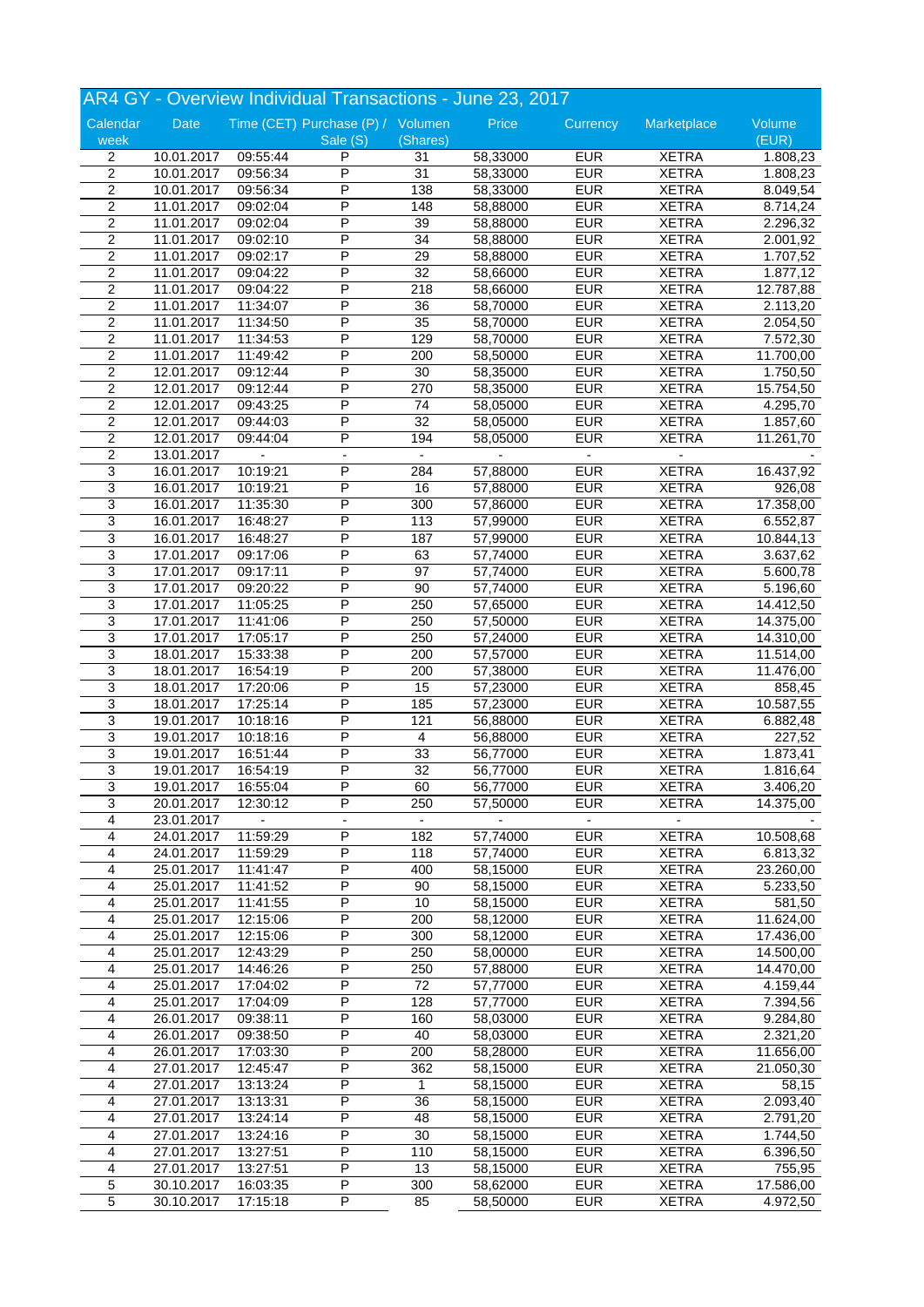|                         |                          |                      | AR4 GY - Overview Individual Transactions - June 23, 2017 |                          |                      |                          |              |            |
|-------------------------|--------------------------|----------------------|-----------------------------------------------------------|--------------------------|----------------------|--------------------------|--------------|------------|
| Calendar                | <b>Date</b>              |                      | Time (CET) Purchase (P) / Volumen                         |                          | Price                | Currency                 | Marketplace  | Volume     |
| week                    |                          |                      | Sale (S)                                                  | (Shares)                 |                      |                          |              | (EUR)      |
| $\overline{2}$          | 10.01.2017               | 09:55:44             | P                                                         | 31                       | 58,33000             | <b>EUR</b>               | <b>XETRA</b> | 1.808,23   |
| $\overline{2}$          | 10.01.2017               | 09:56:34             | P                                                         | 31                       | 58,33000             | <b>EUR</b>               | <b>XETRA</b> | 1.808,23   |
| $\overline{c}$          | 10.01.2017               | 09:56:34             | P                                                         | 138                      | 58,33000             | <b>EUR</b>               | <b>XETRA</b> | 8.049,54   |
| $\overline{c}$          | 11.01.2017               | 09:02:04             | P                                                         | 148                      | 58,88000             | <b>EUR</b>               | <b>XETRA</b> | 8.714,24   |
| 2                       | 11.01.2017               | 09:02:04             | P                                                         | 39                       | 58,88000             | <b>EUR</b>               | <b>XETRA</b> | 2.296,32   |
| $\overline{c}$          | 11.01.2017               | 09:02:10             | P                                                         | 34                       | 58,88000             | <b>EUR</b>               | <b>XETRA</b> | 2.001,92   |
| $\overline{c}$          | 11.01.2017               | 09:02:17             | P                                                         | $\overline{29}$          | 58,88000             | <b>EUR</b>               | <b>XETRA</b> | 1.707,52   |
| $\overline{c}$          | 11.01.2017               | 09:04:22             | P                                                         | 32                       | 58,66000             | <b>EUR</b>               | <b>XETRA</b> | 1.877,12   |
| 2                       | 11.01.2017               | 09:04:22             | P                                                         | 218                      | 58,66000             | <b>EUR</b>               | <b>XETRA</b> | 12.787,88  |
| $\sqrt{2}$              | 11.01.2017               | 11:34:07             | Ρ                                                         | 36                       | 58,70000             | <b>EUR</b>               | <b>XETRA</b> | 2.113,20   |
| $\overline{2}$          | 11.01.2017               | 11:34:50             | $\overline{\mathsf{P}}$                                   | 35                       | 58,70000             | <b>EUR</b>               | <b>XETRA</b> | 2.054,50   |
| $\overline{c}$          | 11.01.2017               | 11:34:53             | P                                                         | 129                      | 58,70000             | <b>EUR</b>               | <b>XETRA</b> | 7.572,30   |
| 2                       | 11.01.2017               | 11:49:42             | P                                                         | 200                      | 58,50000             | <b>EUR</b>               | <b>XETRA</b> | 11.700,00  |
| 2                       | 12.01.2017               | 09:12:44             | P                                                         | 30                       | 58,35000             | <b>EUR</b>               | <b>XETRA</b> | 1.750,50   |
| $\overline{2}$          | 12.01.2017               | 09:12:44             | P                                                         | 270                      | 58,35000             | <b>EUR</b>               | <b>XETRA</b> | 15.754,50  |
| $\overline{c}$          | 12.01.2017               | 09:43:25             | P                                                         | 74                       | 58,05000             | <b>EUR</b>               | <b>XETRA</b> | 4.295,70   |
| $\overline{c}$          | 12.01.2017               | 09:44:03             | P                                                         | 32                       | 58,05000             | <b>EUR</b>               | <b>XETRA</b> | 1.857,60   |
| $\overline{c}$          | 12.01.2017               | 09:44:04             | P                                                         | 194                      | 58,05000             | <b>EUR</b>               | <b>XETRA</b> | 11.261,70  |
| $\overline{c}$          | 13.01.2017               |                      |                                                           | $\overline{a}$           |                      |                          |              |            |
| 3                       | 16.01.2017               | 10:19:21             | P                                                         | 284                      | 57,88000             | <b>EUR</b>               | <b>XETRA</b> | 16.437,92  |
| 3                       | 16.01.2017               | 10:19:21             | P                                                         | 16                       | 57,88000             | <b>EUR</b>               | <b>XETRA</b> | 926,08     |
| 3                       | 16.01.2017               | 11:35:30             | P                                                         | 300                      | 57,86000             | <b>EUR</b>               | <b>XETRA</b> | 17.358,00  |
| 3                       | 16.01.2017               | 16:48:27             | P                                                         | 113                      | 57,99000             | <b>EUR</b>               | <b>XETRA</b> | 6.552,87   |
| 3                       | 16.01.2017               | 16:48:27             | Ρ                                                         | 187                      | 57,99000             | <b>EUR</b>               | <b>XETRA</b> | 10.844,13  |
| $\overline{3}$          | 17.01.2017               | 09:17:06             | P                                                         | 63                       | 57,74000             | <b>EUR</b>               | <b>XETRA</b> | 3.637,62   |
| 3                       | 17.01.2017               | 09:17:11             | P                                                         | 97                       | 57,74000             | <b>EUR</b>               | <b>XETRA</b> | 5.600,78   |
| 3                       | 17.01.2017               | 09:20:22             | P                                                         | 90                       | 57,74000             | <b>EUR</b>               | <b>XETRA</b> | 5.196,60   |
| 3                       |                          |                      | P                                                         | 250                      |                      | <b>EUR</b>               | <b>XETRA</b> | 14.412,50  |
| $\overline{3}$          | 17.01.2017<br>17.01.2017 | 11:05:25<br>11:41:06 | P                                                         | 250                      | 57,65000<br>57,50000 | <b>EUR</b>               | <b>XETRA</b> | 14.375,00  |
| 3                       | 17.01.2017               | 17:05:17             | P                                                         | 250                      |                      | <b>EUR</b>               | <b>XETRA</b> |            |
| 3                       | 18.01.2017               | 15:33:38             | P                                                         | 200                      | 57,24000<br>57,57000 | <b>EUR</b>               | <b>XETRA</b> | 14.310,00  |
|                         |                          |                      |                                                           |                          |                      |                          |              | 11.514,00  |
| 3<br>3                  | 18.01.2017               | 16:54:19             | P                                                         | 200                      | 57,38000             | <b>EUR</b><br><b>EUR</b> | <b>XETRA</b> | 11.476,00  |
|                         | 18.01.2017               | 17:20:06             | Ρ                                                         | 15                       | 57,23000             |                          | <b>XETRA</b> | 858,45     |
| 3                       | 18.01.2017               | 17:25:14             | P<br>P                                                    | 185                      | 57,23000             | <b>EUR</b>               | <b>XETRA</b> | 10.587, 55 |
| $\overline{3}$          | 19.01.2017               | 10:18:16             |                                                           | 121                      | 56,88000             | <b>EUR</b>               | <b>XETRA</b> | 6.882,48   |
| 3                       | 19.01.2017               | 10:18:16             | P                                                         | 4                        | 56,88000             | <b>EUR</b>               | <b>XETRA</b> | 227,52     |
| 3                       | 19.01.2017               | 16:51:44             | P                                                         | 33                       | 56,77000             | <b>EUR</b>               | <b>XETRA</b> | 1.873,41   |
| 3                       | 19.01.2017               | 16:54:19             | P                                                         | 32                       | 56,77000             | <b>EUR</b>               | <b>XETRA</b> | 1.816,64   |
| 3                       | 19.01.2017               | 16:55:04             | $\overline{P}$                                            | 60                       | 56,77000             | <b>EUR</b>               | <b>XETRA</b> | 3.406,20   |
| 3                       | 20.01.2017               | 12:30:12             | P                                                         | 250                      | 57,50000             | <b>EUR</b>               | <b>XETRA</b> | 14.375,00  |
| 4                       | 23.01.2017               |                      |                                                           | $\overline{\phantom{a}}$ |                      |                          |              |            |
| 4                       | 24.01.2017               | 11:59:29             | Ρ                                                         | 182                      | 57,74000             | <b>EUR</b>               | <b>XETRA</b> | 10.508,68  |
| 4                       | 24.01.2017               | 11:59:29             | P                                                         | 118                      | 57,74000             | <b>EUR</b>               | <b>XETRA</b> | 6.813,32   |
| 4                       | 25.01.2017               | 11:41:47             | P                                                         | 400                      | 58,15000             | <b>EUR</b>               | <b>XETRA</b> | 23.260,00  |
| 4                       | 25.01.2017               | 11:41:52             | P                                                         | 90                       | 58,15000             | <b>EUR</b>               | <b>XETRA</b> | 5.233,50   |
| 4                       | 25.01.2017               | 11:41:55             | Ρ                                                         | 10                       | 58,15000             | <b>EUR</b>               | <b>XETRA</b> | 581,50     |
| 4                       | 25.01.2017               | 12:15:06             | Ρ                                                         | 200                      | 58,12000             | <b>EUR</b>               | <b>XETRA</b> | 11.624,00  |
| 4                       | 25.01.2017               | 12:15:06             | P                                                         | 300                      | 58,12000             | <b>EUR</b>               | <b>XETRA</b> | 17.436,00  |
| 4                       | 25.01.2017               | 12:43:29             | Ρ                                                         | 250                      | 58,00000             | <b>EUR</b>               | <b>XETRA</b> | 14.500,00  |
| 4                       | 25.01.2017               | 14:46:26             | Ρ                                                         | 250                      | 57,88000             | <b>EUR</b>               | <b>XETRA</b> | 14.470,00  |
| 4                       | 25.01.2017               | 17:04:02             | Ρ                                                         | 72                       | 57,77000             | <b>EUR</b>               | <b>XETRA</b> | 4.159,44   |
| 4                       | 25.01.2017               | 17:04:09             | P                                                         | 128                      | 57,77000             | <b>EUR</b>               | <b>XETRA</b> | 7.394,56   |
| $\overline{4}$          | 26.01.2017               | 09:38:11             | P                                                         | 160                      | 58,03000             | <b>EUR</b>               | <b>XETRA</b> | 9.284,80   |
| 4                       | 26.01.2017               | 09:38:50             | P                                                         | 40                       | 58,03000             | <b>EUR</b>               | <b>XETRA</b> | 2.321,20   |
| 4                       | 26.01.2017               | 17:03:30             | Ρ                                                         | 200                      | 58,28000             | <b>EUR</b>               | <b>XETRA</b> | 11.656,00  |
| 4                       | 27.01.2017               | 12:45:47             | P                                                         | 362                      | 58,15000             | <b>EUR</b>               | <b>XETRA</b> | 21.050,30  |
| 4                       | 27.01.2017               | 13:13:24             | P                                                         | 1                        | 58,15000             | <b>EUR</b>               | <b>XETRA</b> | 58,15      |
| 4                       | 27.01.2017               | 13:13:31             | Ρ                                                         | 36                       | 58,15000             | <b>EUR</b>               | <b>XETRA</b> | 2.093,40   |
| 4                       | 27.01.2017               | 13:24:14             | P                                                         | 48                       | 58,15000             | <b>EUR</b>               | <b>XETRA</b> | 2.791,20   |
| 4                       | 27.01.2017               | 13:24:16             | Ρ                                                         | 30                       | 58,15000             | <b>EUR</b>               | <b>XETRA</b> | 1.744,50   |
| 4                       | 27.01.2017               | 13:27:51             | P                                                         | 110                      | 58,15000             | <b>EUR</b>               | <b>XETRA</b> | 6.396,50   |
| $\overline{\mathbf{4}}$ | 27.01.2017               | 13:27:51             | P                                                         | 13                       | 58,15000             | <b>EUR</b>               | <b>XETRA</b> | 755,95     |
| $\overline{5}$          | 30.10.2017               | 16:03:35             | Ρ                                                         | 300                      | 58,62000             | <b>EUR</b>               | <b>XETRA</b> | 17.586,00  |
| $\overline{5}$          | 30.10.2017               | 17:15:18             | P                                                         | 85                       | 58,50000             | <b>EUR</b>               | <b>XETRA</b> | 4.972,50   |
|                         |                          |                      |                                                           |                          |                      |                          |              |            |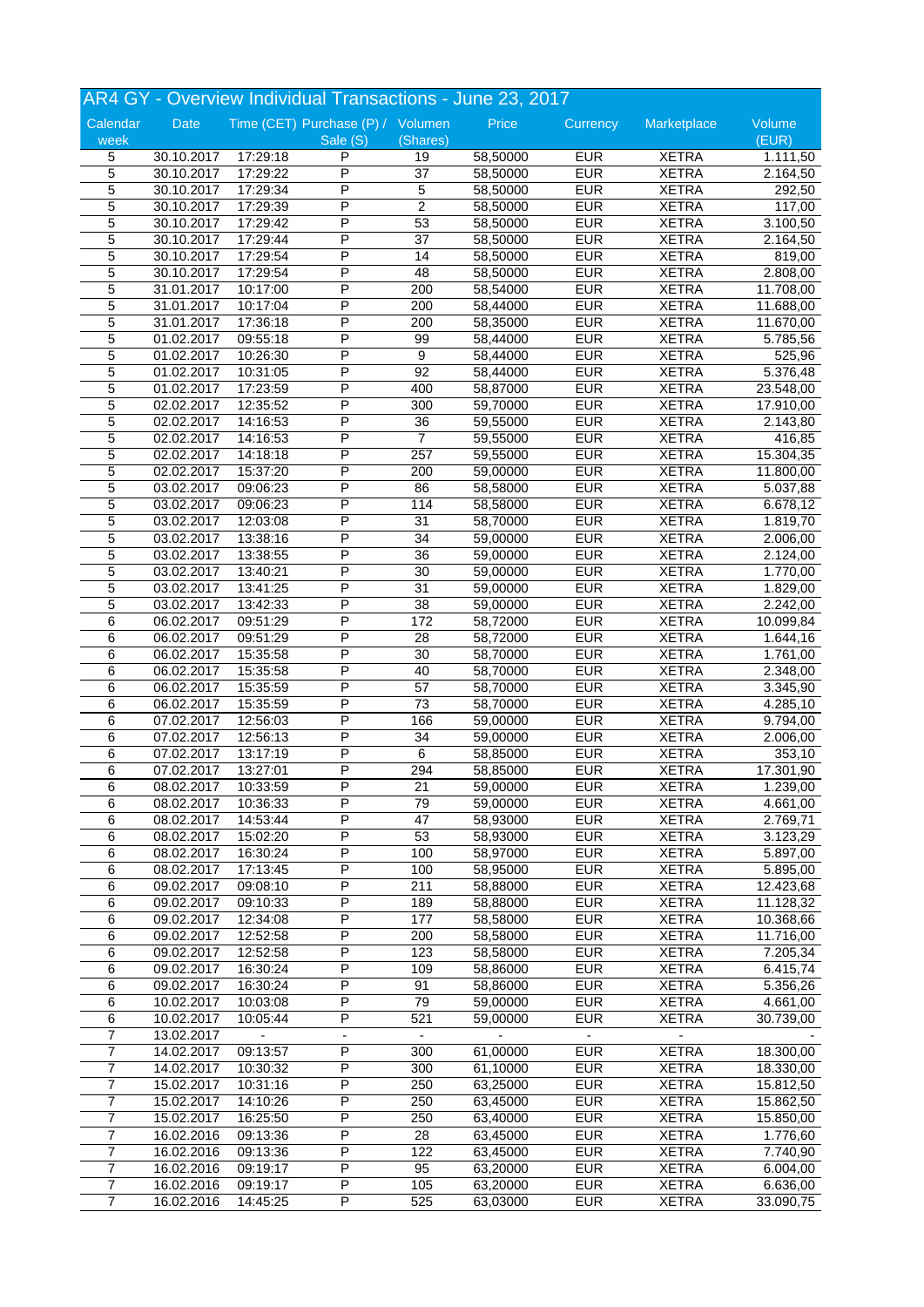|                |            |          |                                   |                 | AR4 GY - Overview Individual Transactions - June 23, 2017 |               |                          |           |
|----------------|------------|----------|-----------------------------------|-----------------|-----------------------------------------------------------|---------------|--------------------------|-----------|
| Calendar       | Date       |          | Time (CET) Purchase (P) / Volumen |                 | Price                                                     | Currency      | Marketplace              | Volume    |
| week           |            |          | Sale (S)                          | (Shares)        |                                                           |               |                          | (EUR)     |
| 5              | 30.10.2017 | 17:29:18 | P                                 | 19              | 58,50000                                                  | <b>EUR</b>    | <b>XETRA</b>             | 1.111,50  |
| $\overline{5}$ | 30.10.2017 | 17:29:22 | P                                 | 37              | 58,50000                                                  | <b>EUR</b>    | <b>XETRA</b>             | 2.164,50  |
| 5              | 30.10.2017 | 17:29:34 | P                                 | 5               | 58,50000                                                  | <b>EUR</b>    | <b>XETRA</b>             | 292,50    |
| 5              | 30.10.2017 | 17:29:39 | P                                 | $\overline{c}$  | 58,50000                                                  | <b>EUR</b>    | <b>XETRA</b>             | 117,00    |
| 5              | 30.10.2017 | 17:29:42 | P                                 | 53              | 58,50000                                                  | <b>EUR</b>    | <b>XETRA</b>             | 3.100,50  |
| 5              | 30.10.2017 | 17:29:44 | Ρ                                 | $\overline{37}$ | 58,50000                                                  | <b>EUR</b>    | <b>XETRA</b>             | 2.164,50  |
| $\overline{5}$ | 30.10.2017 | 17:29:54 | P                                 | 14              | 58,50000                                                  | <b>EUR</b>    | <b>XETRA</b>             | 819,00    |
| 5              | 30.10.2017 | 17:29:54 | P                                 | 48              | 58,50000                                                  | <b>EUR</b>    | <b>XETRA</b>             | 2.808,00  |
| 5              | 31.01.2017 | 10:17:00 | P                                 | 200             | 58,54000                                                  | <b>EUR</b>    | <b>XETRA</b>             | 11.708,00 |
|                |            |          | P                                 |                 |                                                           | <b>EUR</b>    |                          |           |
| 5              | 31.01.2017 | 10:17:04 |                                   | 200             | 58,44000                                                  |               | <b>XETRA</b>             | 11.688,00 |
| $\overline{5}$ | 31.01.2017 | 17:36:18 | P                                 | 200             | 58,35000                                                  | <b>EUR</b>    | <b>XETRA</b>             | 11.670,00 |
| 5              | 01.02.2017 | 09:55:18 | P                                 | 99              | 58,44000                                                  | <b>EUR</b>    | <b>XETRA</b>             | 5.785,56  |
| 5              | 01.02.2017 | 10:26:30 | P                                 | 9               | 58,44000                                                  | <b>EUR</b>    | <b>XETRA</b>             | 525,96    |
| 5              | 01.02.2017 | 10:31:05 | P                                 | 92              | 58,44000                                                  | <b>EUR</b>    | <b>XETRA</b>             | 5.376,48  |
| $\overline{5}$ | 01.02.2017 | 17:23:59 | P                                 | 400             | 58,87000                                                  | <b>EUR</b>    | <b>XETRA</b>             | 23.548,00 |
| $\overline{5}$ | 02.02.2017 | 12:35:52 | P                                 | 300             | 59,70000                                                  | <b>EUR</b>    | <b>XETRA</b>             | 17.910,00 |
| 5              | 02.02.2017 | 14:16:53 | P                                 | $\overline{36}$ | 59,55000                                                  | <b>EUR</b>    | <b>XETRA</b>             | 2.143,80  |
| 5              | 02.02.2017 | 14:16:53 | P                                 | 7               | 59,55000                                                  | <b>EUR</b>    | <b>XETRA</b>             | 416,85    |
| 5              | 02.02.2017 | 14:18:18 | P                                 | 257             | 59,55000                                                  | <b>EUR</b>    | <b>XETRA</b>             | 15.304,35 |
| 5              | 02.02.2017 | 15:37:20 | P                                 | 200             | 59,00000                                                  | <b>EUR</b>    | <b>XETRA</b>             | 11.800,00 |
| $\overline{5}$ | 03.02.2017 | 09:06:23 | P                                 | 86              | 58,58000                                                  | <b>EUR</b>    | <b>XETRA</b>             | 5.037,88  |
| 5              | 03.02.2017 | 09:06:23 | P                                 | 114             | 58,58000                                                  | <b>EUR</b>    | <b>XETRA</b>             | 6.678,12  |
| 5              | 03.02.2017 | 12:03:08 | P                                 | 31              | 58,70000                                                  | <b>EUR</b>    | <b>XETRA</b>             | 1.819,70  |
| 5              | 03.02.2017 | 13:38:16 | P                                 | 34              | 59,00000                                                  | <b>EUR</b>    | <b>XETRA</b>             | 2.006,00  |
| $\overline{5}$ | 03.02.2017 | 13:38:55 | P                                 | 36              | 59,00000                                                  | <b>EUR</b>    | <b>XETRA</b>             | 2.124,00  |
| 5              | 03.02.2017 | 13:40:21 | P                                 | 30              | 59,00000                                                  | <b>EUR</b>    | <b>XETRA</b>             | 1.770,00  |
| 5              | 03.02.2017 | 13:41:25 | P                                 | 31              | 59,00000                                                  | <b>EUR</b>    | <b>XETRA</b>             | 1.829,00  |
|                |            |          |                                   |                 |                                                           |               |                          |           |
| 5              | 03.02.2017 | 13:42:33 | P                                 | 38              | 59,00000                                                  | <b>EUR</b>    | <b>XETRA</b>             | 2.242,00  |
| 6              | 06.02.2017 | 09:51:29 | P                                 | 172             | 58,72000                                                  | <b>EUR</b>    | <b>XETRA</b>             | 10.099,84 |
| 6              | 06.02.2017 | 09:51:29 | P                                 | 28              | 58,72000                                                  | <b>EUR</b>    | <b>XETRA</b>             | 1.644,16  |
| 6              | 06.02.2017 | 15:35:58 | P                                 | 30              | 58,70000                                                  | <b>EUR</b>    | <b>XETRA</b>             | 1.761,00  |
| 6              | 06.02.2017 | 15:35:58 | P                                 | 40              | 58,70000                                                  | <b>EUR</b>    | <b>XETRA</b>             | 2.348,00  |
| 6              | 06.02.2017 | 15:35:59 | P                                 | 57              | 58,70000                                                  | <b>EUR</b>    | <b>XETRA</b>             | 3.345,90  |
| 6              | 06.02.2017 | 15:35:59 | P                                 | 73              | 58,70000                                                  | <b>EUR</b>    | <b>XETRA</b>             | 4.285,10  |
| 6              | 07.02.2017 | 12:56:03 | P                                 | 166             | 59,00000                                                  | <b>EUR</b>    | <b>XETRA</b>             | 9.794,00  |
| 6              | 07.02.2017 | 12:56:13 | P                                 | 34              | 59,00000                                                  | <b>EUR</b>    | <b>XETRA</b>             | 2.006,00  |
| 6              | 07.02.2017 | 13:17:19 | P                                 | 6               | 58,85000                                                  | <b>EUR</b>    | <b>XETRA</b>             | 353,10    |
| 6              | 07.02.2017 | 13:27:01 | P                                 | 294             | 58,85000                                                  | <b>EUR</b>    | <b>XETRA</b>             | 17.301,90 |
| $\overline{6}$ | 08.02.2017 | 10:33:59 | P                                 | 21              | 59,00000                                                  | <b>EUR</b>    | <b>XETRA</b>             | 1.239,00  |
| 6              | 08.02.2017 | 10:36:33 | P                                 | 79              | 59,00000                                                  | <b>EUR</b>    | <b>XETRA</b>             | 4.661,00  |
| 6              | 08.02.2017 | 14:53:44 | P                                 | 47              | 58,93000                                                  | <b>EUR</b>    | <b>XETRA</b>             | 2.769,71  |
| 6              | 08.02.2017 | 15:02:20 | Ρ                                 | 53              | 58,93000                                                  | <b>EUR</b>    | <b>XETRA</b>             | 3.123,29  |
| $\,6\,$        | 08.02.2017 | 16:30:24 | P                                 | 100             | 58,97000                                                  | <b>EUR</b>    | <b>XETRA</b>             | 5.897,00  |
| 6              |            |          | Ρ                                 | 100             | 58,95000                                                  | <b>EUR</b>    | <b>XETRA</b>             |           |
|                | 08.02.2017 | 17:13:45 |                                   |                 |                                                           |               |                          | 5.895,00  |
| 6              | 09.02.2017 | 09:08:10 | P                                 | 211             | 58,88000                                                  | <b>EUR</b>    | <b>XETRA</b>             | 12.423,68 |
| 6              | 09.02.2017 | 09:10:33 | Ρ                                 | 189             | 58,88000                                                  | <b>EUR</b>    | <b>XETRA</b>             | 11.128,32 |
| $\,6\,$        | 09.02.2017 | 12:34:08 | Ρ                                 | 177             | 58,58000                                                  | <b>EUR</b>    | <b>XETRA</b>             | 10.368,66 |
| 6              | 09.02.2017 | 12:52:58 | P                                 | 200             | 58,58000                                                  | <b>EUR</b>    | <b>XETRA</b>             | 11.716,00 |
| 6              | 09.02.2017 | 12:52:58 | Ρ                                 | 123             | 58,58000                                                  | <b>EUR</b>    | <b>XETRA</b>             | 7.205,34  |
| 6              | 09.02.2017 | 16:30:24 | P                                 | 109             | 58,86000                                                  | <b>EUR</b>    | <b>XETRA</b>             | 6.415,74  |
| 6              | 09.02.2017 | 16:30:24 | Ρ                                 | 91              | 58,86000                                                  | <b>EUR</b>    | <b>XETRA</b>             | 5.356,26  |
| 6              | 10.02.2017 | 10:03:08 | P                                 | 79              | 59,00000                                                  | <b>EUR</b>    | <b>XETRA</b>             | 4.661,00  |
| 6              | 10.02.2017 | 10:05:44 | P                                 | 521             | 59,00000                                                  | <b>EUR</b>    | <b>XETRA</b>             | 30.739,00 |
| $\overline{7}$ | 13.02.2017 |          | $\frac{1}{2}$                     | $\blacksquare$  |                                                           | $\frac{1}{2}$ | $\overline{\phantom{a}}$ |           |
| 7              | 14.02.2017 | 09:13:57 | Ρ                                 | 300             | 61,00000                                                  | <b>EUR</b>    | <b>XETRA</b>             | 18.300,00 |
| 7              | 14.02.2017 | 10:30:32 | Ρ                                 | 300             | 61,10000                                                  | <b>EUR</b>    | <b>XETRA</b>             | 18.330,00 |
| $\overline{7}$ | 15.02.2017 | 10:31:16 | P                                 | 250             | 63,25000                                                  | <b>EUR</b>    | <b>XETRA</b>             | 15.812,50 |
| $\overline{7}$ |            |          | Ρ                                 | 250             | 63,45000                                                  | <b>EUR</b>    | <b>XETRA</b>             |           |
|                | 15.02.2017 | 14:10:26 | P                                 |                 |                                                           |               |                          | 15.862,50 |
| $\overline{7}$ | 15.02.2017 | 16:25:50 |                                   | 250             | 63,40000                                                  | <b>EUR</b>    | <b>XETRA</b>             | 15.850,00 |
| 7              | 16.02.2016 | 09:13:36 | P                                 | 28              | 63,45000                                                  | <b>EUR</b>    | <b>XETRA</b>             | 1.776,60  |
| $\overline{7}$ | 16.02.2016 | 09:13:36 | P                                 | 122             | 63,45000                                                  | <b>EUR</b>    | <b>XETRA</b>             | 7.740,90  |
| $\overline{7}$ | 16.02.2016 | 09:19:17 | P                                 | 95              | 63,20000                                                  | <b>EUR</b>    | <b>XETRA</b>             | 6.004,00  |
| $\overline{7}$ | 16.02.2016 | 09:19:17 | Ρ                                 | 105             | 63,20000                                                  | <b>EUR</b>    | <b>XETRA</b>             | 6.636,00  |
| $\overline{7}$ | 16.02.2016 | 14:45:25 | P                                 | 525             | 63,03000                                                  | <b>EUR</b>    | <b>XETRA</b>             | 33.090,75 |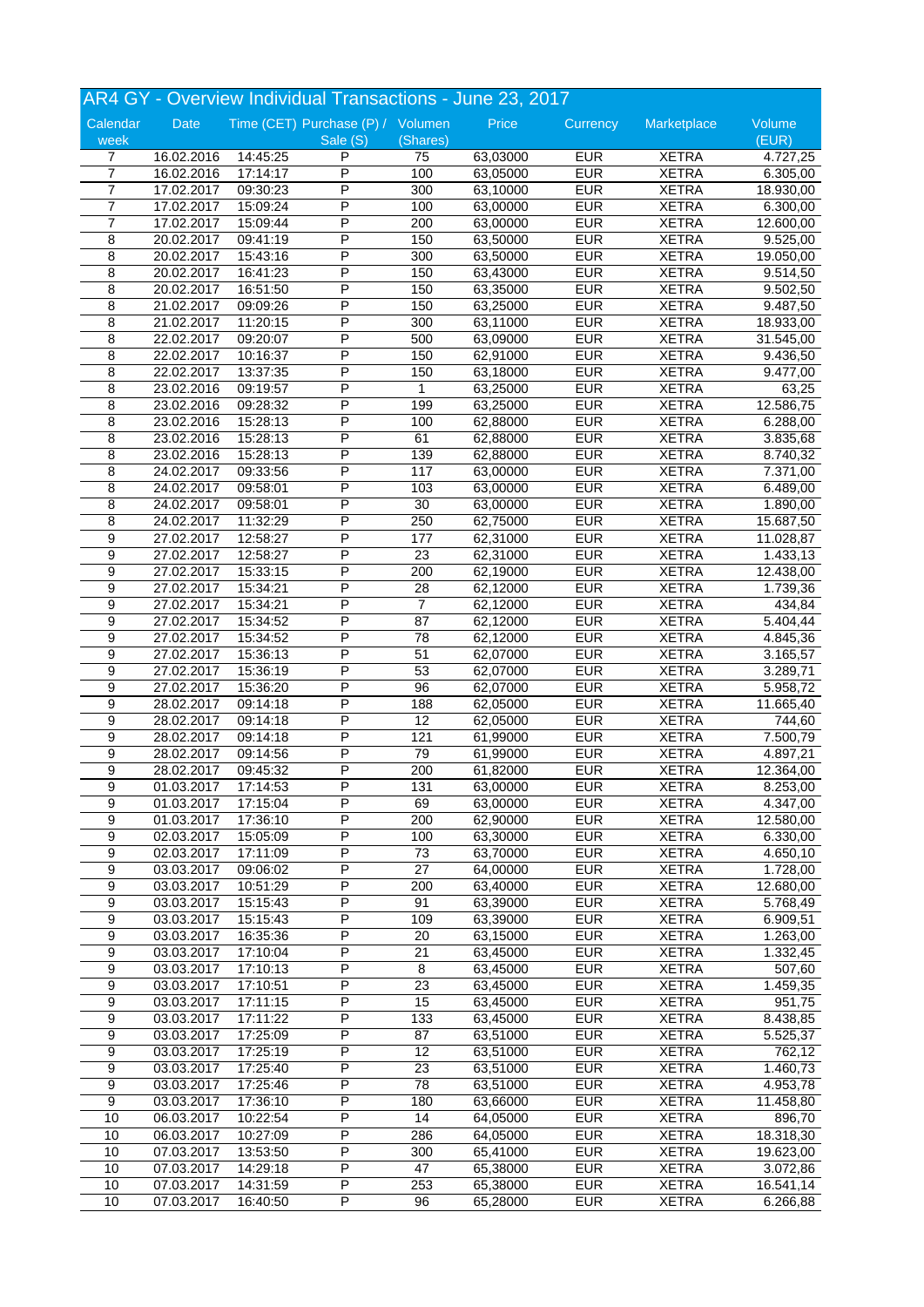|                  |                          |          | AR4 GY - Overview Individual Transactions - June 23, 2017 |                 |          |            |              |                 |
|------------------|--------------------------|----------|-----------------------------------------------------------|-----------------|----------|------------|--------------|-----------------|
| Calendar<br>week | Date                     |          | Time (CET) Purchase (P) / Volumen<br>Sale (S)             | (Shares)        | Price    | Currency   | Marketplace  | Volume<br>(EUR) |
| 7                | 16.02.2016               | 14:45:25 | P                                                         | 75              | 63,03000 | <b>EUR</b> | <b>XETRA</b> | 4.727,25        |
| $\overline{7}$   | 16.02.2016               | 17:14:17 | $\overline{\mathsf{P}}$                                   | 100             | 63,05000 | <b>EUR</b> | <b>XETRA</b> | 6.305,00        |
| $\overline{7}$   | 17.02.2017               | 09:30:23 | P                                                         | 300             | 63,10000 | <b>EUR</b> | <b>XETRA</b> | 18.930,00       |
| $\overline{7}$   | 17.02.2017               | 15:09:24 | P                                                         | 100             | 63,00000 | <b>EUR</b> | <b>XETRA</b> | 6.300,00        |
| $\overline{7}$   | 17.02.2017               | 15:09:44 | P                                                         | 200             | 63,00000 | <b>EUR</b> | <b>XETRA</b> | 12.600,00       |
| 8                | 20.02.2017               | 09:41:19 | P                                                         | 150             | 63,50000 | <b>EUR</b> | <b>XETRA</b> | 9.525,00        |
| 8                | 20.02.2017               | 15:43:16 | P                                                         | 300             | 63,50000 | <b>EUR</b> | <b>XETRA</b> | 19.050,00       |
| 8                | 20.02.2017               | 16:41:23 | P                                                         | 150             | 63,43000 | <b>EUR</b> | <b>XETRA</b> | 9.514,50        |
| 8                | 20.02.2017               | 16:51:50 | P                                                         | 150             | 63,35000 | <b>EUR</b> | <b>XETRA</b> | 9.502,50        |
| 8                | 21.02.2017               | 09:09:26 | P                                                         | 150             | 63,25000 | <b>EUR</b> | <b>XETRA</b> | 9.487,50        |
| 8                | 21.02.2017               | 11:20:15 | P                                                         | 300             | 63,11000 | <b>EUR</b> | <b>XETRA</b> | 18.933,00       |
| 8                | 22.02.2017               | 09:20:07 | P                                                         | 500             | 63,09000 | <b>EUR</b> | <b>XETRA</b> | 31.545,00       |
| 8                | 22.02.2017               | 10:16:37 | P                                                         | 150             | 62,91000 | <b>EUR</b> | <b>XETRA</b> | 9.436,50        |
| 8                | 22.02.2017               | 13:37:35 | P                                                         | 150             | 63,18000 | <b>EUR</b> | <b>XETRA</b> | 9.477,00        |
| $\overline{8}$   | 23.02.2016               | 09:19:57 | P                                                         | $\mathbf{1}$    | 63,25000 | <b>EUR</b> | <b>XETRA</b> | 63,25           |
| 8                | 23.02.2016               | 09:28:32 | P                                                         | 199             | 63,25000 | <b>EUR</b> | <b>XETRA</b> | 12.586,75       |
| 8                | 23.02.2016               | 15:28:13 | P                                                         | 100             | 62,88000 | <b>EUR</b> | <b>XETRA</b> | 6.288,00        |
| 8                | 23.02.2016               | 15:28:13 | P                                                         | 61              | 62,88000 | <b>EUR</b> | <b>XETRA</b> | 3.835,68        |
| 8                | 23.02.2016               | 15:28:13 | Ρ                                                         | 139             | 62,88000 | <b>EUR</b> | <b>XETRA</b> | 8.740,32        |
| 8                | 24.02.2017               | 09:33:56 | P                                                         | 117             | 63,00000 | <b>EUR</b> | <b>XETRA</b> | 7.371,00        |
| 8                | 24.02.2017               | 09:58:01 | P                                                         | 103             | 63,00000 | <b>EUR</b> | <b>XETRA</b> | 6.489,00        |
| 8                |                          | 09:58:01 | P                                                         | 30              | 63,00000 | <b>EUR</b> | <b>XETRA</b> | 1.890,00        |
| 8                | 24.02.2017<br>24.02.2017 | 11:32:29 | P                                                         | 250             | 62,75000 | <b>EUR</b> | <b>XETRA</b> | 15.687,50       |
| $\boldsymbol{9}$ | 27.02.2017               | 12:58:27 | P                                                         | 177             | 62,31000 | <b>EUR</b> | <b>XETRA</b> | 11.028,87       |
| 9                |                          |          | P                                                         | 23              | 62,31000 | <b>EUR</b> | <b>XETRA</b> |                 |
|                  | 27.02.2017               | 12:58:27 | P                                                         |                 |          | <b>EUR</b> |              | 1.433,13        |
| 9                | 27.02.2017               | 15:33:15 | P                                                         | 200             | 62,19000 |            | <b>XETRA</b> | 12.438,00       |
| 9                | 27.02.2017               | 15:34:21 |                                                           | 28              | 62,12000 | <b>EUR</b> | <b>XETRA</b> | 1.739,36        |
| 9                | 27.02.2017               | 15:34:21 | P                                                         | $\overline{7}$  | 62,12000 | <b>EUR</b> | <b>XETRA</b> | 434,84          |
| 9                | 27.02.2017               | 15:34:52 | P                                                         | 87              | 62,12000 | <b>EUR</b> | <b>XETRA</b> | 5.404,44        |
| 9                | 27.02.2017               | 15:34:52 | P                                                         | 78              | 62,12000 | <b>EUR</b> | <b>XETRA</b> | 4.845,36        |
| 9                | 27.02.2017               | 15:36:13 | P                                                         | 51              | 62,07000 | <b>EUR</b> | <b>XETRA</b> | 3.165,57        |
| 9                | 27.02.2017               | 15:36:19 | P                                                         | 53              | 62,07000 | <b>EUR</b> | <b>XETRA</b> | 3.289,71        |
| $\boldsymbol{9}$ | 27.02.2017               | 15:36:20 | Ρ                                                         | 96              | 62,07000 | <b>EUR</b> | <b>XETRA</b> | 5.958,72        |
| 9                | 28.02.2017               | 09:14:18 | P                                                         | 188             | 62,05000 | <b>EUR</b> | <b>XETRA</b> | 11.665,40       |
| 9                | 28.02.2017               | 09:14:18 | P                                                         | 12              | 62,05000 | <b>EUR</b> | <b>XETRA</b> | 744,60          |
| 9                | 28.02.2017               | 09:14:18 | P                                                         | 121             | 61,99000 | <b>EUR</b> | <b>XETRA</b> | 7.500,79        |
| 9                | 28.02.2017               | 09:14:56 | P                                                         | 79              | 61,99000 | <b>EUR</b> | <b>XETRA</b> | 4.897,21        |
| 9                | 28.02.2017               | 09:45:32 | P                                                         | 200             | 61,82000 | <b>EUR</b> | <b>XETRA</b> | 12.364,00       |
| $\overline{9}$   | 01.03.2017               | 17:14:53 | P                                                         | 131             | 63,00000 | <b>EUR</b> | <b>XETRA</b> | 8.253,00        |
| 9                | 01.03.2017               | 17:15:04 | P                                                         | 69              | 63,00000 | <b>EUR</b> | <b>XETRA</b> | 4.347,00        |
| 9                | 01.03.2017               | 17:36:10 | Ρ                                                         | 200             | 62,90000 | <b>EUR</b> | <b>XETRA</b> | 12.580,00       |
| 9                | 02.03.2017               | 15:05:09 | Ρ                                                         | 100             | 63,30000 | <b>EUR</b> | <b>XETRA</b> | 6.330,00        |
| $\overline{9}$   | 02.03.2017               | 17:11:09 | $\overline{\mathsf{P}}$                                   | 73              | 63,70000 | <b>EUR</b> | <b>XETRA</b> | 4.650,10        |
| $\overline{9}$   | 03.03.2017               | 09:06:02 | P                                                         | $\overline{27}$ | 64,00000 | <b>EUR</b> | <b>XETRA</b> | 1.728,00        |
| 9                | 03.03.2017               | 10:51:29 | P                                                         | 200             | 63,40000 | <b>EUR</b> | <b>XETRA</b> | 12.680,00       |
| 9                | 03.03.2017               | 15:15:43 | Ρ                                                         | 91              | 63,39000 | <b>EUR</b> | <b>XETRA</b> | 5.768,49        |
| $\boldsymbol{9}$ | 03.03.2017               | 15:15:43 | Ρ                                                         | 109             | 63,39000 | <b>EUR</b> | <b>XETRA</b> | 6.909,51        |
| 9                | 03.03.2017               | 16:35:36 | P                                                         | 20              | 63,15000 | <b>EUR</b> | <b>XETRA</b> | 1.263,00        |
| 9                | 03.03.2017               | 17:10:04 | Ρ                                                         | 21              | 63,45000 | <b>EUR</b> | <b>XETRA</b> | 1.332,45        |
| 9                | 03.03.2017               | 17:10:13 | Ρ                                                         | 8               | 63,45000 | <b>EUR</b> | <b>XETRA</b> | 507,60          |
| $\boldsymbol{9}$ | 03.03.2017               | 17:10:51 | Ρ                                                         | 23              | 63,45000 | <b>EUR</b> | <b>XETRA</b> | 1.459,35        |
| $\overline{9}$   | 03.03.2017               | 17:11:15 | P                                                         | 15              | 63,45000 | <b>EUR</b> | <b>XETRA</b> | 951,75          |
| 9                | 03.03.2017               | 17:11:22 | P                                                         | 133             | 63,45000 | <b>EUR</b> | <b>XETRA</b> | 8.438,85        |
| 9                | 03.03.2017               | 17:25:09 | P                                                         | 87              | 63,51000 | <b>EUR</b> | <b>XETRA</b> | 5.525,37        |
| 9                | 03.03.2017               | 17:25:19 | Ρ                                                         | 12              | 63,51000 | <b>EUR</b> | <b>XETRA</b> | 762,12          |
| $\boldsymbol{9}$ | 03.03.2017               | 17:25:40 | Ρ                                                         | 23              | 63,51000 | <b>EUR</b> | <b>XETRA</b> | 1.460,73        |
| 9                | 03.03.2017               | 17:25:46 | P                                                         | 78              | 63,51000 | <b>EUR</b> | <b>XETRA</b> | 4.953,78        |
| 9                | 03.03.2017               | 17:36:10 | Ρ                                                         | 180             | 63,66000 | <b>EUR</b> | <b>XETRA</b> | 11.458,80       |
| 10               | 06.03.2017               | 10:22:54 | P                                                         | 14              | 64,05000 | <b>EUR</b> | <b>XETRA</b> | 896,70          |
| 10               | 06.03.2017               | 10:27:09 | Ρ                                                         | 286             | 64,05000 | <b>EUR</b> | <b>XETRA</b> | 18.318,30       |
| 10               |                          |          | P                                                         | 300             |          | <b>EUR</b> | <b>XETRA</b> |                 |
|                  | 07.03.2017               | 13:53:50 | P                                                         |                 | 65,41000 | <b>EUR</b> |              | 19.623,00       |
| 10               | 07.03.2017<br>07.03.2017 | 14:29:18 |                                                           | 47              | 65,38000 |            | <b>XETRA</b> | 3.072,86        |
| 10               |                          | 14:31:59 | P                                                         | 253             | 65,38000 | <b>EUR</b> | <b>XETRA</b> | 16.541,14       |
| 10               | 07.03.2017               | 16:40:50 | P                                                         | 96              | 65,28000 | <b>EUR</b> | <b>XETRA</b> | 6.266,88        |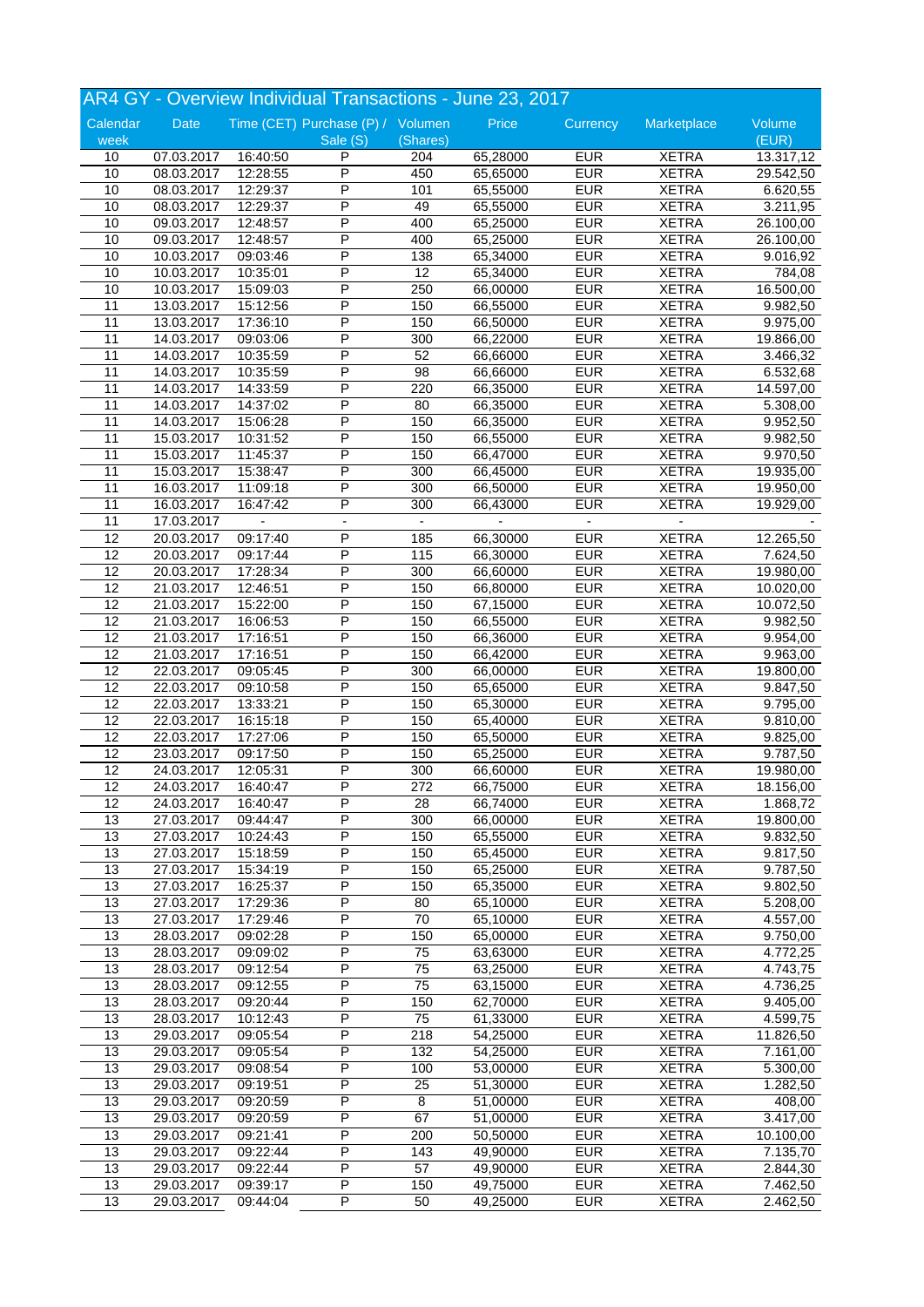|                 |             |          |                                   |          | AR4 GY - Overview Individual Transactions - June 23, 2017 |                          |                              |                      |
|-----------------|-------------|----------|-----------------------------------|----------|-----------------------------------------------------------|--------------------------|------------------------------|----------------------|
| Calendar        | <b>Date</b> |          | Time (CET) Purchase (P) / Volumen |          | Price                                                     | Currency                 | Marketplace                  | Volume               |
| week            |             |          | Sale (S)                          | (Shares) |                                                           |                          |                              | (EUR)                |
| 10              | 07.03.2017  | 16:40:50 | P                                 | 204      | 65,28000                                                  | <b>EUR</b>               | <b>XETRA</b>                 | 13.317,12            |
| 10              | 08.03.2017  | 12:28:55 | P                                 | 450      | 65,65000                                                  | <b>EUR</b>               | <b>XETRA</b>                 | 29.542,50            |
| 10              | 08.03.2017  | 12:29:37 | P                                 | 101      | 65,55000                                                  | <b>EUR</b>               | <b>XETRA</b>                 | 6.620,55             |
| 10              | 08.03.2017  | 12:29:37 | P                                 | 49       | 65,55000                                                  | <b>EUR</b>               | <b>XETRA</b>                 | 3.211,95             |
| 10              | 09.03.2017  | 12:48:57 | P                                 | 400      | 65,25000                                                  | <b>EUR</b>               | <b>XETRA</b>                 | 26.100,00            |
| 10              | 09.03.2017  | 12:48:57 | P                                 | 400      | 65,25000                                                  | <b>EUR</b>               | <b>XETRA</b>                 | 26.100,00            |
| 10              | 10.03.2017  | 09:03:46 | P                                 | 138      | 65,34000                                                  | <b>EUR</b>               | <b>XETRA</b>                 | 9.016,92             |
| 10              | 10.03.2017  | 10:35:01 | P                                 | 12       | 65,34000                                                  | <b>EUR</b>               | <b>XETRA</b>                 | 784,08               |
| 10              | 10.03.2017  | 15:09:03 | P                                 | 250      | 66,00000                                                  | <b>EUR</b>               | <b>XETRA</b>                 | 16.500,00            |
| $\overline{11}$ | 13.03.2017  | 15:12:56 | Ρ                                 | 150      | 66,55000                                                  | <b>EUR</b>               | <b>XETRA</b>                 | 9.982,50             |
| 11              | 13.03.2017  | 17:36:10 | P                                 | 150      | 66,50000                                                  | <b>EUR</b>               | <b>XETRA</b>                 | 9.975,00             |
| 11              | 14.03.2017  | 09:03:06 | P                                 | 300      | 66,22000                                                  | <b>EUR</b>               | <b>XETRA</b>                 | 19.866,00            |
| $\overline{11}$ | 14.03.2017  | 10:35:59 | P                                 | 52       | 66,66000                                                  | <b>EUR</b>               | <b>XETRA</b>                 | 3.466,32             |
| 11              | 14.03.2017  | 10:35:59 | P                                 | 98       | 66,66000                                                  | <b>EUR</b>               | <b>XETRA</b>                 | 6.532,68             |
| 11              | 14.03.2017  | 14:33:59 | P                                 | 220      | 66,35000                                                  | <b>EUR</b>               | <b>XETRA</b>                 | 14.597,00            |
| 11              |             | 14:37:02 | P                                 | 80       | 66,35000                                                  | <b>EUR</b>               | <b>XETRA</b>                 |                      |
| $\overline{11}$ | 14.03.2017  |          | P                                 | 150      | 66,35000                                                  | <b>EUR</b>               | <b>XETRA</b>                 | 5.308,00<br>9.952,50 |
|                 | 14.03.2017  | 15:06:28 |                                   |          |                                                           |                          |                              |                      |
| 11              | 15.03.2017  | 10:31:52 | P                                 | 150      | 66,55000                                                  | <b>EUR</b>               | <b>XETRA</b>                 | 9.982,50             |
| 11              | 15.03.2017  | 11:45:37 | Ρ                                 | 150      | 66,47000                                                  | <b>EUR</b>               | <b>XETRA</b>                 | 9.970,50             |
| 11              | 15.03.2017  | 15:38:47 | P                                 | 300      | 66,45000                                                  | <b>EUR</b>               | <b>XETRA</b>                 | 19.935,00            |
| 11              | 16.03.2017  | 11:09:18 | P                                 | 300      | 66,50000                                                  | <b>EUR</b>               | <b>XETRA</b>                 | 19.950,00            |
| 11              | 16.03.2017  | 16:47:42 | P                                 | 300      | 66,43000                                                  | <b>EUR</b>               | <b>XETRA</b>                 | 19.929,00            |
| 11              | 17.03.2017  |          |                                   |          |                                                           |                          |                              |                      |
| 12              | 20.03.2017  | 09:17:40 | P                                 | 185      | 66,30000                                                  | <b>EUR</b>               | <b>XETRA</b>                 | 12.265,50            |
| 12              | 20.03.2017  | 09:17:44 | P                                 | 115      | 66,30000                                                  | <b>EUR</b>               | <b>XETRA</b>                 | 7.624,50             |
| 12              | 20.03.2017  | 17:28:34 | P                                 | 300      | 66,60000                                                  | <b>EUR</b>               | <b>XETRA</b>                 | 19.980,00            |
| 12              | 21.03.2017  | 12:46:51 | P                                 | 150      | 66,80000                                                  | <b>EUR</b>               | <b>XETRA</b>                 | 10.020,00            |
| $\overline{12}$ | 21.03.2017  | 15:22:00 | Ρ                                 | 150      | 67,15000                                                  | <b>EUR</b>               | <b>XETRA</b>                 | 10.072,50            |
| 12              | 21.03.2017  | 16:06:53 | P                                 | 150      | 66,55000                                                  | <b>EUR</b>               | <b>XETRA</b>                 | 9.982,50             |
| 12              | 21.03.2017  | 17:16:51 | P                                 | 150      | 66,36000                                                  | <b>EUR</b>               | <b>XETRA</b>                 | 9.954,00             |
| 12              | 21.03.2017  | 17:16:51 | P                                 | 150      | 66,42000                                                  | <b>EUR</b>               | <b>XETRA</b>                 | 9.963,00             |
| 12              | 22.03.2017  | 09:05:45 | P                                 | 300      | 66,00000                                                  | <b>EUR</b>               | <b>XETRA</b>                 | 19.800,00            |
| 12              | 22.03.2017  | 09:10:58 | P                                 | 150      | 65,65000                                                  | <b>EUR</b>               | <b>XETRA</b>                 | 9.847,50             |
| 12              | 22.03.2017  | 13:33:21 | P                                 | 150      | 65,30000                                                  | <b>EUR</b>               | <b>XETRA</b>                 | 9.795,00             |
| 12              | 22.03.2017  | 16:15:18 | P                                 | 150      | 65,40000                                                  | <b>EUR</b>               | <b>XETRA</b>                 | 9.810,00             |
| 12              | 22.03.2017  | 17:27:06 | P                                 | 150      | 65,50000                                                  | <b>EUR</b>               | <b>XETRA</b>                 | 9.825,00             |
| 12              | 23.03.2017  | 09:17:50 | P                                 | 150      | 65,25000                                                  | <b>EUR</b>               | <b>XETRA</b>                 | 9.787,50             |
| $\overline{12}$ | 24.03.2017  | 12:05:31 | P                                 | 300      | 66,60000                                                  | <b>EUR</b>               | <b>XETRA</b>                 | 19.980,00            |
| $\overline{12}$ | 24.03.2017  | 16:40:47 | $\overline{\mathsf{P}}$           | 272      | 66,75000                                                  | <b>EUR</b>               | <b>XETRA</b>                 | 18.156,00            |
| 12              | 24.03.2017  | 16:40:47 | P                                 | 28       | 66,74000                                                  | <b>EUR</b>               | <b>XETRA</b>                 | 1.868,72             |
| 13              | 27.03.2017  | 09:44:47 | P                                 | 300      | 66,00000                                                  | <b>EUR</b>               | <b>XETRA</b>                 | 19.800,00            |
| 13              | 27.03.2017  | 10:24:43 | P                                 | 150      | 65,55000                                                  | <b>EUR</b>               | <b>XETRA</b>                 | 9.832,50             |
| 13              | 27.03.2017  | 15:18:59 | P                                 | 150      | 65,45000                                                  | <b>EUR</b>               | <b>XETRA</b>                 | 9.817,50             |
| 13              | 27.03.2017  | 15:34:19 | Ρ                                 | 150      | 65,25000                                                  | <b>EUR</b>               | <b>XETRA</b>                 | 9.787,50             |
| 13              | 27.03.2017  | 16:25:37 | Ρ                                 | 150      | 65,35000                                                  | <b>EUR</b>               | <b>XETRA</b>                 | 9.802,50             |
|                 |             |          |                                   |          |                                                           |                          |                              |                      |
| 13<br>13        | 27.03.2017  | 17:29:36 | Ρ<br>P                            | 80<br>70 | 65,10000                                                  | <b>EUR</b><br><b>EUR</b> | <b>XETRA</b><br><b>XETRA</b> | 5.208,00<br>4.557,00 |
|                 | 27.03.2017  | 17:29:46 | P                                 |          | 65,10000                                                  |                          |                              |                      |
| 13              | 28.03.2017  | 09:02:28 |                                   | 150      | 65,00000                                                  | <b>EUR</b>               | <b>XETRA</b>                 | 9.750,00             |
| 13              | 28.03.2017  | 09:09:02 | P                                 | 75       | 63,63000                                                  | <b>EUR</b>               | <b>XETRA</b>                 | 4.772,25             |
| 13              | 28.03.2017  | 09:12:54 | Ρ                                 | 75       | 63,25000                                                  | <b>EUR</b>               | <b>XETRA</b>                 | 4.743,75             |
| 13              | 28.03.2017  | 09:12:55 | Ρ                                 | 75       | 63,15000                                                  | <b>EUR</b>               | <b>XETRA</b>                 | 4.736,25             |
| $\overline{13}$ | 28.03.2017  | 09:20:44 | P                                 | 150      | 62,70000                                                  | <b>EUR</b>               | <b>XETRA</b>                 | 9.405,00             |
| 13              | 28.03.2017  | 10:12:43 | Ρ                                 | 75       | 61,33000                                                  | <b>EUR</b>               | <b>XETRA</b>                 | 4.599,75             |
| 13              | 29.03.2017  | 09:05:54 | P                                 | 218      | 54,25000                                                  | <b>EUR</b>               | <b>XETRA</b>                 | 11.826,50            |
| 13              | 29.03.2017  | 09:05:54 | Ρ                                 | 132      | 54,25000                                                  | <b>EUR</b>               | <b>XETRA</b>                 | 7.161,00             |
| 13              | 29.03.2017  | 09:08:54 | P                                 | 100      | 53,00000                                                  | <b>EUR</b>               | <b>XETRA</b>                 | 5.300,00             |
| 13              | 29.03.2017  | 09:19:51 | P                                 | 25       | 51,30000                                                  | <b>EUR</b>               | <b>XETRA</b>                 | 1.282,50             |
| 13              | 29.03.2017  | 09:20:59 | Ρ                                 | 8        | 51,00000                                                  | <b>EUR</b>               | <b>XETRA</b>                 | 408,00               |
| 13              | 29.03.2017  | 09:20:59 | Ρ                                 | 67       | 51,00000                                                  | <b>EUR</b>               | <b>XETRA</b>                 | 3.417,00             |
| 13              | 29.03.2017  | 09:21:41 | Ρ                                 | 200      | 50,50000                                                  | <b>EUR</b>               | <b>XETRA</b>                 | 10.100,00            |
| $\overline{13}$ | 29.03.2017  | 09:22:44 | P                                 | 143      | 49,90000                                                  | <b>EUR</b>               | <b>XETRA</b>                 | 7.135,70             |
| 13              | 29.03.2017  | 09:22:44 | P                                 | 57       | 49,90000                                                  | <b>EUR</b>               | <b>XETRA</b>                 | 2.844,30             |
| 13              | 29.03.2017  | 09:39:17 | P                                 | 150      | 49,75000                                                  | <b>EUR</b>               | <b>XETRA</b>                 | 7.462,50             |
| 13              | 29.03.2017  | 09:44:04 | P                                 | 50       | 49,25000                                                  | <b>EUR</b>               | <b>XETRA</b>                 | 2.462,50             |
|                 |             |          |                                   |          |                                                           |                          |                              |                      |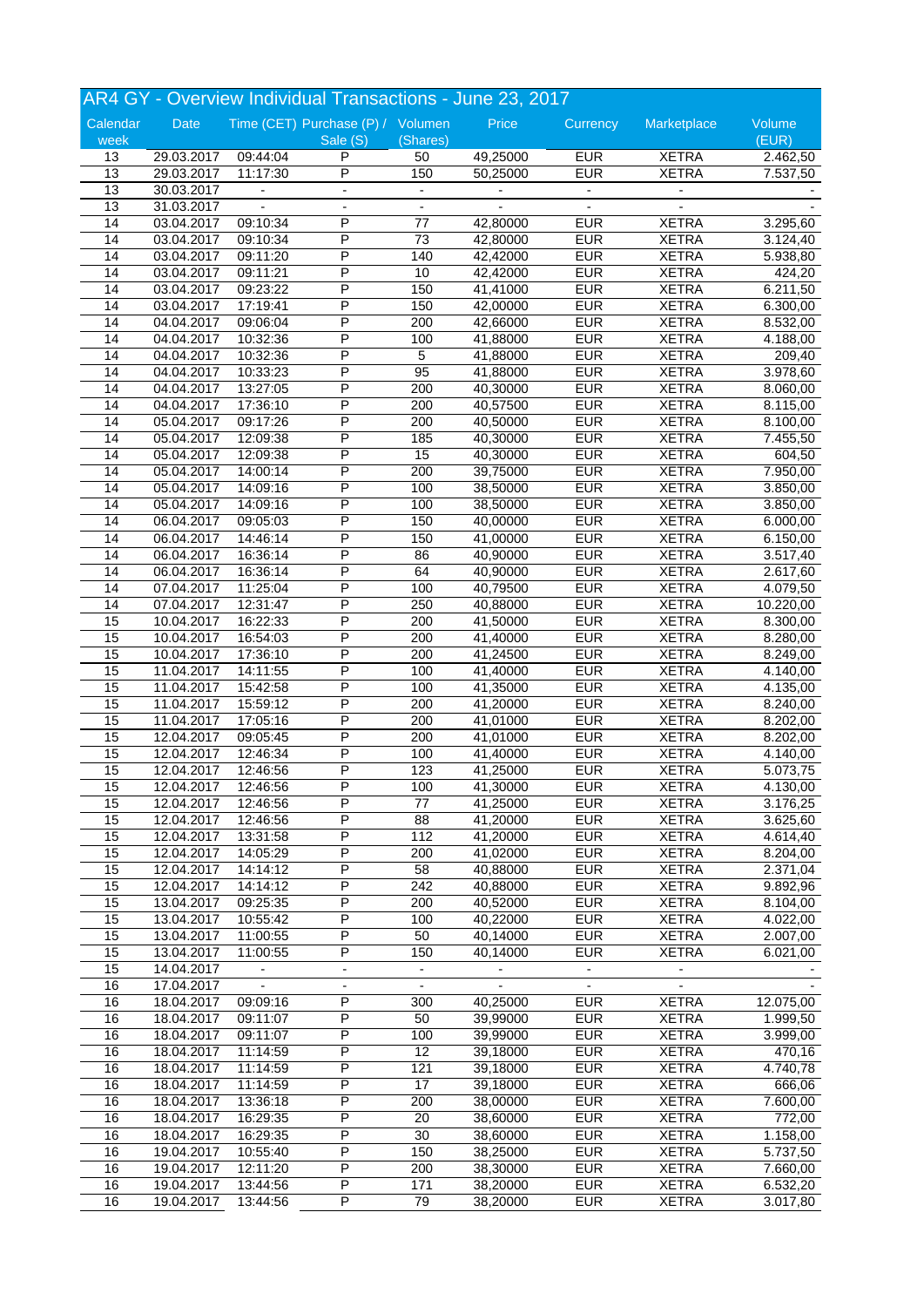|                 |                          |                          | AR4 GY - Overview Individual Transactions - June 23, 2017 |                          |                |                          |                          |           |
|-----------------|--------------------------|--------------------------|-----------------------------------------------------------|--------------------------|----------------|--------------------------|--------------------------|-----------|
| Calendar        | Date                     |                          | Time (CET) Purchase (P) / Volumen                         |                          | Price          | Currency                 | Marketplace              | Volume    |
| week            |                          |                          | Sale (S)                                                  | (Shares)                 |                |                          |                          | (EUR)     |
| 13              | 29.03.2017               | 09:44:04                 | P<br>$\overline{\mathsf{P}}$                              | 50                       | 49,25000       | <b>EUR</b>               | <b>XETRA</b>             | 2.462,50  |
| $\overline{13}$ | 29.03.2017               | 11:17:30                 |                                                           | 150                      | 50,25000       | <b>EUR</b>               | <b>XETRA</b>             | 7.537,50  |
| 13              | 30.03.2017               | $\blacksquare$           |                                                           |                          |                |                          | $\overline{\phantom{a}}$ |           |
| 13              | 31.03.2017               |                          | $\blacksquare$                                            | $\overline{\phantom{a}}$ |                | $\overline{a}$           |                          |           |
| 14              | 03.04.2017               | 09:10:34                 | P                                                         | $77$                     | 42,80000       | <b>EUR</b>               | <b>XETRA</b>             | 3.295,60  |
| 14              | 03.04.2017               | 09:10:34                 | P                                                         | 73                       | 42,80000       | <b>EUR</b>               | <b>XETRA</b>             | 3.124,40  |
| 14              | 03.04.2017               | 09:11:20                 | P                                                         | 140                      | 42,42000       | <b>EUR</b>               | <b>XETRA</b>             | 5.938,80  |
| 14              | 03.04.2017               | 09:11:21                 | P                                                         | 10                       | 42,42000       | <b>EUR</b>               | <b>XETRA</b>             | 424,20    |
| 14              | 03.04.2017               | 09:23:22                 | P                                                         | 150                      | 41,41000       | <b>EUR</b>               | <b>XETRA</b>             | 6.211,50  |
| 14              | 03.04.2017               | 17:19:41                 | Ρ                                                         | 150                      | 42,00000       | <b>EUR</b>               | <b>XETRA</b>             | 6.300,00  |
| 14              | 04.04.2017               | 09:06:04                 | P                                                         | 200                      | 42,66000       | <b>EUR</b>               | <b>XETRA</b>             | 8.532,00  |
| 14              | 04.04.2017               | 10:32:36                 | P                                                         | 100                      | 41,88000       | <b>EUR</b>               | <b>XETRA</b>             | 4.188,00  |
| 14              | 04.04.2017               | 10:32:36                 | P                                                         | 5                        | 41,88000       | <b>EUR</b>               | <b>XETRA</b>             | 209,40    |
| 14              | 04.04.2017               | 10:33:23                 | P                                                         | 95                       | 41,88000       | <b>EUR</b>               | <b>XETRA</b>             | 3.978,60  |
| 14              | 04.04.2017               | 13:27:05                 | P                                                         | 200                      | 40,30000       | <b>EUR</b>               | <b>XETRA</b>             | 8.060,00  |
| 14              | 04.04.2017               | 17:36:10                 | P                                                         | 200                      | 40,57500       | <b>EUR</b>               | <b>XETRA</b>             | 8.115,00  |
| 14              | 05.04.2017               | 09:17:26                 | P                                                         | 200                      | 40,50000       | <b>EUR</b>               | <b>XETRA</b>             | 8.100,00  |
| 14              | 05.04.2017               | 12:09:38                 | P                                                         | 185                      | 40,30000       | <b>EUR</b>               | <b>XETRA</b>             | 7.455,50  |
| 14              | 05.04.2017               | 12:09:38                 | P                                                         | 15                       | 40,30000       | <b>EUR</b>               | <b>XETRA</b>             | 604,50    |
| 14              | 05.04.2017               | 14:00:14                 | P                                                         | $\overline{200}$         | 39,75000       | <b>EUR</b>               | <b>XETRA</b>             | 7.950,00  |
| 14              | 05.04.2017               | 14:09:16                 | P                                                         | 100                      | 38,50000       | <b>EUR</b>               | <b>XETRA</b>             | 3.850,00  |
| 14              | 05.04.2017               | 14:09:16                 | P                                                         | 100                      | 38,50000       | <b>EUR</b>               | <b>XETRA</b>             | 3.850,00  |
| 14              | 06.04.2017               | 09:05:03                 | P                                                         | 150                      | 40,00000       | <b>EUR</b>               | <b>XETRA</b>             | 6.000,00  |
| 14              | 06.04.2017               | 14:46:14                 | Ρ                                                         | 150                      | 41,00000       | <b>EUR</b>               | <b>XETRA</b>             | 6.150,00  |
| 14              | 06.04.2017               | 16:36:14                 | P                                                         | 86                       | 40,90000       | <b>EUR</b>               | <b>XETRA</b>             | 3.517,40  |
| 14              | 06.04.2017               | 16:36:14                 | P                                                         | 64                       | 40,90000       | EUR                      | <b>XETRA</b>             | 2.617,60  |
| 14              | 07.04.2017               | 11:25:04                 | P                                                         | 100                      | 40,79500       | <b>EUR</b>               | <b>XETRA</b>             | 4.079,50  |
| 14              | 07.04.2017               | 12:31:47                 | P                                                         | 250                      | 40,88000       | <b>EUR</b>               | <b>XETRA</b>             | 10.220,00 |
| 15              | 10.04.2017               | 16:22:33                 | P                                                         | 200                      | 41,50000       | <b>EUR</b>               | <b>XETRA</b>             | 8.300,00  |
| 15              | 10.04.2017               | 16:54:03                 | P                                                         | 200                      | 41,40000       | <b>EUR</b>               | <b>XETRA</b>             | 8.280,00  |
| 15              | 10.04.2017               | 17:36:10                 | P                                                         | 200                      | 41,24500       | <b>EUR</b>               | <b>XETRA</b>             | 8.249,00  |
| 15              | 11.04.2017               | 14:11:55                 | P                                                         | 100                      | 41,40000       | <b>EUR</b>               | <b>XETRA</b>             | 4.140,00  |
| 15              | 11.04.2017               | 15:42:58                 | Ρ                                                         | 100                      | 41,35000       | <b>EUR</b>               | <b>XETRA</b>             | 4.135,00  |
| 15              | 11.04.2017               | 15:59:12                 | P                                                         | 200                      | 41,20000       | <b>EUR</b>               | <b>XETRA</b>             | 8.240,00  |
| 15              | 11.04.2017               | 17:05:16                 | P                                                         | 200                      | 41,01000       | <b>EUR</b>               | <b>XETRA</b>             | 8.202,00  |
| 15              | 12.04.2017               | 09:05:45                 | P                                                         | 200                      | 41,01000       | <b>EUR</b>               | <b>XETRA</b>             | 8.202,00  |
| 15              | 12.04.2017               | 12:46:34                 | P                                                         | 100                      | 41,40000       | <b>EUR</b>               | <b>XETRA</b>             | 4.140,00  |
| 15              | 12.04.2017               | 12:46:56                 | P                                                         | 123                      | 41,25000       | <b>EUR</b>               | <b>XETRA</b>             | 5.073,75  |
| 15              | 12.04.2017               | 12:46:56                 | $\overline{P}$                                            | 100                      | 41,30000       | <b>EUR</b>               | <b>XETRA</b>             | 4.130,00  |
| 15              | 12.04.2017               | 12:46:56                 | P                                                         | 77                       | 41,25000       | <b>EUR</b>               | <b>XETRA</b>             | 3.176,25  |
| 15              | 12.04.2017               | 12:46:56                 | P                                                         | 88                       | 41,20000       | <b>EUR</b>               | <b>XETRA</b>             | 3.625,60  |
| 15              | 12.04.2017               | 13:31:58                 | P                                                         | 112                      | 41,20000       | <b>EUR</b>               | <b>XETRA</b>             | 4.614,40  |
| $\overline{15}$ | 12.04.2017               | 14:05:29                 | P                                                         | 200                      | 41,02000       | <b>EUR</b>               | <b>XETRA</b>             | 8.204,00  |
| 15              | 12.04.2017               | 14:14:12                 | P                                                         | 58                       | 40,88000       | <b>EUR</b>               | <b>XETRA</b>             | 2.371,04  |
| 15              | 12.04.2017               | 14:14:12                 | P                                                         | 242                      | 40,88000       | <b>EUR</b>               | <b>XETRA</b>             | 9.892,96  |
|                 |                          |                          | P                                                         |                          |                | <b>EUR</b>               |                          |           |
| 15<br>15        | 13.04.2017<br>13.04.2017 | 09:25:35                 | Ρ                                                         | 200<br>100               | 40,52000       | <b>EUR</b>               | <b>XETRA</b>             | 8.104,00  |
|                 |                          | 10:55:42                 |                                                           |                          | 40,22000       |                          | <b>XETRA</b>             | 4.022,00  |
| 15              | 13.04.2017               | 11:00:55                 | P                                                         | 50                       | 40,14000       | <b>EUR</b>               | <b>XETRA</b>             | 2.007,00  |
| 15              | 13.04.2017               | 11:00:55                 | Ρ                                                         | 150                      | 40,14000       | <b>EUR</b>               | <b>XETRA</b>             | 6.021,00  |
| 15              | 14.04.2017               | $\overline{\phantom{a}}$ | $\overline{\phantom{a}}$                                  | $\blacksquare$           |                | $\overline{\phantom{a}}$ | $\overline{\phantom{a}}$ |           |
| 16              | 17.04.2017               |                          |                                                           | $\overline{\phantom{a}}$ | $\blacksquare$ | $\blacksquare$           | $\overline{\phantom{a}}$ |           |
| 16              | 18.04.2017               | 09:09:16                 | P                                                         | 300                      | 40,25000       | <b>EUR</b>               | <b>XETRA</b>             | 12.075,00 |
| 16              | 18.04.2017               | 09:11:07                 | P                                                         | 50                       | 39,99000       | <b>EUR</b>               | <b>XETRA</b>             | 1.999,50  |
| 16              | 18.04.2017               | 09:11:07                 | P                                                         | 100                      | 39,99000       | <b>EUR</b>               | <b>XETRA</b>             | 3.999,00  |
| 16              | 18.04.2017               | 11:14:59                 | Ρ                                                         | 12                       | 39,18000       | <b>EUR</b>               | <b>XETRA</b>             | 470,16    |
| 16              | 18.04.2017               | 11:14:59                 | P                                                         | 121                      | 39,18000       | <b>EUR</b>               | <b>XETRA</b>             | 4.740,78  |
| 16              | 18.04.2017               | 11:14:59                 | P                                                         | 17                       | 39,18000       | <b>EUR</b>               | <b>XETRA</b>             | 666,06    |
| 16              | 18.04.2017               | 13:36:18                 | Ρ                                                         | 200                      | 38,00000       | <b>EUR</b>               | <b>XETRA</b>             | 7.600,00  |
| 16              | 18.04.2017               | 16:29:35                 | P                                                         | 20                       | 38,60000       | <b>EUR</b>               | <b>XETRA</b>             | 772,00    |
| 16              | 18.04.2017               | 16:29:35                 | P                                                         | 30                       | 38,60000       | <b>EUR</b>               | <b>XETRA</b>             | 1.158,00  |
| 16              | 19.04.2017               | 10:55:40                 | P                                                         | 150                      | 38,25000       | <b>EUR</b>               | <b>XETRA</b>             | 5.737,50  |
| 16              | 19.04.2017               | 12:11:20                 | P                                                         | 200                      | 38,30000       | <b>EUR</b>               | <b>XETRA</b>             | 7.660,00  |
| 16              | 19.04.2017               | 13:44:56                 | P                                                         | 171                      | 38,20000       | <b>EUR</b>               | <b>XETRA</b>             | 6.532,20  |
| 16              | 19.04.2017               | 13:44:56                 | P                                                         | 79                       | 38,20000       | <b>EUR</b>               | <b>XETRA</b>             | 3.017,80  |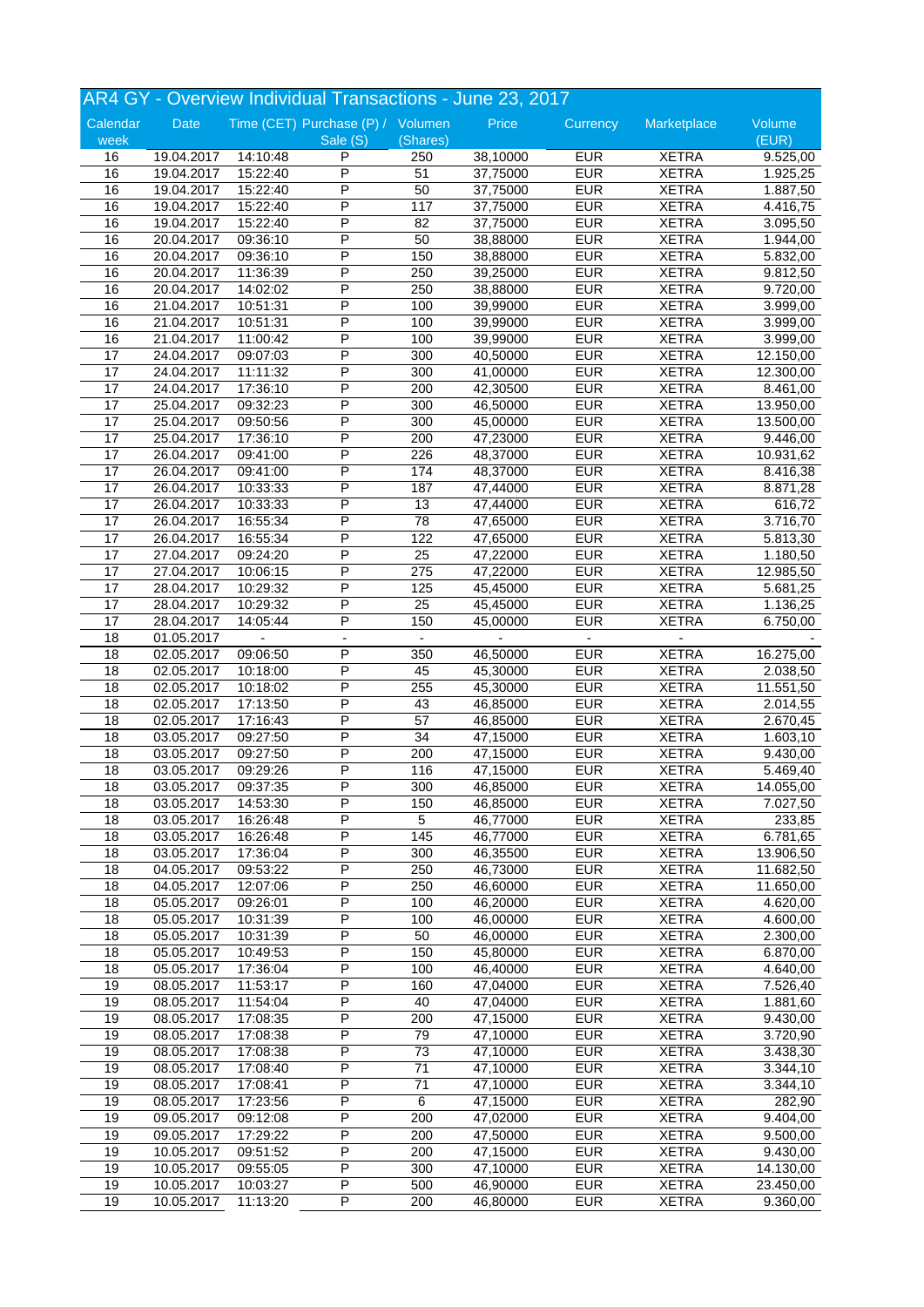|                 |                          |                      | AR4 GY - Overview Individual Transactions - June 23, 2017 |                |                      |            |                              |                        |
|-----------------|--------------------------|----------------------|-----------------------------------------------------------|----------------|----------------------|------------|------------------------------|------------------------|
| Calendar        | <b>Date</b>              |                      | Time (CET) Purchase (P) / Volumen                         |                | Price                | Currency   | Marketplace                  | Volume                 |
| week            |                          |                      | Sale (S)                                                  | (Shares)       |                      |            |                              | (EUR)                  |
| 16              | 19.04.2017               | 14:10:48             | P                                                         | 250            | 38,10000             | <b>EUR</b> | <b>XETRA</b>                 | 9.525,00               |
| 16              | 19.04.2017               | 15:22:40             | P                                                         | 51             | 37,75000             | <b>EUR</b> | <b>XETRA</b>                 | 1.925,25               |
| 16              | 19.04.2017               | 15:22:40             | P                                                         | 50             | 37,75000             | <b>EUR</b> | <b>XETRA</b>                 | 1.887,50               |
| 16              | 19.04.2017               | 15:22:40             | P                                                         | 117            | 37,75000             | <b>EUR</b> | <b>XETRA</b>                 | 4.416,75               |
| 16              | 19.04.2017               | 15:22:40             | P                                                         | 82             | 37,75000             | <b>EUR</b> | <b>XETRA</b>                 | 3.095,50               |
| 16              | 20.04.2017               | 09:36:10             | P                                                         | 50             | 38,88000             | <b>EUR</b> | <b>XETRA</b>                 | 1.944,00               |
| 16              | 20.04.2017               | 09:36:10             | P                                                         | 150            | 38,88000             | <b>EUR</b> | <b>XETRA</b>                 | 5.832,00               |
| 16              | 20.04.2017               | 11:36:39             | P                                                         | 250            | 39,25000             | <b>EUR</b> | <b>XETRA</b>                 | 9.812,50               |
| 16              | 20.04.2017               | 14:02:02             | P                                                         | 250            | 38,88000             | <b>EUR</b> | <b>XETRA</b>                 | 9.720,00               |
| 16              | 21.04.2017               | 10:51:31             | Ρ                                                         | 100            | 39,99000             | <b>EUR</b> | <b>XETRA</b>                 | 3.999,00               |
| 16              | 21.04.2017               | 10:51:31             | $\overline{\mathsf{P}}$                                   | 100            | 39,99000             | <b>EUR</b> | <b>XETRA</b>                 | 3.999,00               |
| 16              | 21.04.2017               | 11:00:42             | P                                                         | 100            | 39,99000             | <b>EUR</b> | <b>XETRA</b>                 | 3.999,00               |
| 17              | 24.04.2017               | 09:07:03             | P                                                         | 300            | 40,50000             | <b>EUR</b> | <b>XETRA</b>                 | 12.150,00              |
| 17              | 24.04.2017               | 11:11:32             | P                                                         | 300            | 41,00000             | <b>EUR</b> | <b>XETRA</b>                 | 12.300,00              |
| 17              | 24.04.2017               | 17:36:10             | P                                                         | 200            | 42,30500             | <b>EUR</b> | <b>XETRA</b>                 | 8.461,00               |
| 17              | 25.04.2017               | 09:32:23             | P                                                         | 300            | 46,50000             | <b>EUR</b> | <b>XETRA</b>                 | 13.950,00              |
| 17              | 25.04.2017               | 09:50:56             | P                                                         | 300            | 45,00000             | <b>EUR</b> | <b>XETRA</b>                 | 13.500,00              |
| 17              | 25.04.2017               | 17:36:10             | P                                                         | 200            | 47,23000             | <b>EUR</b> | <b>XETRA</b>                 | 9.446,00               |
| 17              | 26.04.2017               | 09:41:00             | P                                                         | 226            | 48,37000             | <b>EUR</b> | <b>XETRA</b>                 | 10.931,62              |
| 17              | 26.04.2017               | 09:41:00             | P                                                         | 174            | 48,37000             | <b>EUR</b> | <b>XETRA</b>                 | 8.416,38               |
| 17              | 26.04.2017               | 10:33:33             | P                                                         | 187            | 47,44000             | <b>EUR</b> | <b>XETRA</b>                 | 8.871,28               |
| 17              | 26.04.2017               | 10:33:33             | P                                                         | 13             | 47,44000             | <b>EUR</b> | <b>XETRA</b>                 | 616,72                 |
| 17              | 26.04.2017               | 16:55:34             | P                                                         | 78             | 47,65000             | <b>EUR</b> | <b>XETRA</b>                 | 3.716,70               |
| 17              | 26.04.2017               | 16:55:34             | P                                                         | 122            | 47,65000             | <b>EUR</b> | <b>XETRA</b>                 | 5.813,30               |
| 17              | 27.04.2017               | 09:24:20             | P                                                         | 25             | 47,22000             | <b>EUR</b> | <b>XETRA</b>                 | 1.180,50               |
| 17              | 27.04.2017               | 10:06:15             | P                                                         | 275            | 47,22000             | <b>EUR</b> | <b>XETRA</b>                 | 12.985,50              |
| 17              | 28.04.2017               | 10:29:32             | P                                                         | 125            | 45,45000             | <b>EUR</b> | <b>XETRA</b>                 | 5.681,25               |
| 17              | 28.04.2017               | 10:29:32             | P                                                         | 25             | 45,45000             | <b>EUR</b> | <b>XETRA</b>                 | 1.136,25               |
| 17              | 28.04.2017               | 14:05:44             | P                                                         | 150            | 45,00000             | <b>EUR</b> | <b>XETRA</b>                 | 6.750,00               |
| 18              | 01.05.2017               |                      | $\overline{a}$                                            | $\overline{a}$ |                      |            |                              |                        |
| 18              | 02.05.2017               | 09:06:50             | P                                                         | 350            | 46,50000             | <b>EUR</b> | <b>XETRA</b>                 | 16.275,00              |
| 18              | 02.05.2017               | 10:18:00             | P                                                         | 45             | 45,30000             | <b>EUR</b> | <b>XETRA</b>                 | 2.038,50               |
| 18              | 02.05.2017               | 10:18:02             | P                                                         | 255            | 45,30000             | <b>EUR</b> | <b>XETRA</b>                 | 11.551,50              |
| 18              | 02.05.2017               | 17:13:50             | P                                                         | 43             | 46,85000             | <b>EUR</b> | <b>XETRA</b>                 | 2.014,55               |
| 18              | 02.05.2017               | 17:16:43             | P                                                         | 57             | 46,85000             | <b>EUR</b> | <b>XETRA</b>                 | 2.670,45               |
| 18              | 03.05.2017               | 09:27:50             | P                                                         | 34             | 47,15000             | <b>EUR</b> | <b>XETRA</b>                 | 1.603,10               |
| 18              | 03.05.2017               | 09:27:50             | P                                                         | 200            | 47,15000             | <b>EUR</b> | <b>XETRA</b>                 | 9.430,00               |
| 18              | 03.05.2017               | 09:29:26             | P                                                         | 116            | 47,15000             | <b>EUR</b> | <b>XETRA</b>                 | 5.469,40               |
| $\overline{18}$ | 03.05.2017               | 09:37:35             | P                                                         | 300            | 46,85000             | <b>EUR</b> | <b>XETRA</b>                 | 14.055,00              |
|                 | 03.05.2017               |                      | P                                                         |                |                      | <b>EUR</b> |                              | 7.027,50               |
| 18<br>18        | 03.05.2017               | 14:53:30             | P                                                         | 150<br>5       | 46,85000             | <b>EUR</b> | <b>XETRA</b>                 | 233,85                 |
| 18              |                          | 16:26:48             | Ρ                                                         | 145            | 46,77000             | <b>EUR</b> | <b>XETRA</b>                 |                        |
| 18              | 03.05.2017               | 16:26:48             | P                                                         |                | 46,77000<br>46,35500 | <b>EUR</b> | <b>XETRA</b><br><b>XETRA</b> | 6.781,65               |
|                 | 03.05.2017<br>04.05.2017 | 17:36:04             | Ρ                                                         | 300<br>250     | 46,73000             | <b>EUR</b> | <b>XETRA</b>                 | 13.906,50              |
| 18              |                          | 09:53:22             | Ρ                                                         |                |                      | <b>EUR</b> |                              | 11.682,50<br>11.650,00 |
| 18              | 04.05.2017               | 12:07:06             | $\overline{P}$                                            | 250            | 46,60000             | <b>EUR</b> | <b>XETRA</b>                 |                        |
| 18<br>18        | 05.05.2017               | 09:26:01<br>10:31:39 | P                                                         | 100<br>100     | 46,20000<br>46,00000 | <b>EUR</b> | <b>XETRA</b><br><b>XETRA</b> | 4.620,00               |
|                 | 05.05.2017               |                      | P                                                         |                |                      | <b>EUR</b> |                              | 4.600,00               |
| 18              | 05.05.2017               | 10:31:39             | P                                                         | 50<br>150      | 46,00000<br>45,80000 | <b>EUR</b> | <b>XETRA</b><br><b>XETRA</b> | 2.300,00               |
| 18              | 05.05.2017               | 10:49:53             |                                                           |                |                      |            |                              | 6.870,00               |
| 18              | 05.05.2017               | 17:36:04             | Ρ                                                         | 100            | 46,40000             | <b>EUR</b> | <b>XETRA</b>                 | 4.640,00               |
| 19              | 08.05.2017               | 11:53:17             | Ρ                                                         | 160            | 47,04000             | <b>EUR</b> | <b>XETRA</b>                 | 7.526,40               |
| 19              | 08.05.2017               | 11:54:04             | P                                                         | 40             | 47,04000             | <b>EUR</b> | <b>XETRA</b>                 | 1.881,60               |
| 19              | 08.05.2017               | 17:08:35             | Ρ                                                         | 200            | 47,15000             | <b>EUR</b> | <b>XETRA</b>                 | 9.430,00               |
| 19              | 08.05.2017               | 17:08:38             | P                                                         | 79             | 47,10000             | <b>EUR</b> | <b>XETRA</b>                 | 3.720,90               |
| 19              | 08.05.2017               | 17:08:38             | Ρ                                                         | 73             | 47,10000             | <b>EUR</b> | <b>XETRA</b>                 | 3.438,30               |
| 19              | 08.05.2017               | 17:08:40             | P                                                         | 71             | 47,10000             | <b>EUR</b> | <b>XETRA</b>                 | 3.344,10               |
| 19              | 08.05.2017               | 17:08:41             | Ρ                                                         | 71             | 47,10000             | <b>EUR</b> | <b>XETRA</b>                 | 3.344,10               |
| 19              | 08.05.2017               | 17:23:56             | Ρ                                                         | 6              | 47,15000             | <b>EUR</b> | <b>XETRA</b>                 | 282,90                 |
| 19              | 09.05.2017               | 09:12:08             | Ρ                                                         | 200            | 47,02000             | <b>EUR</b> | <b>XETRA</b>                 | 9.404,00               |
| 19              | 09.05.2017               | 17:29:22             | Ρ                                                         | 200            | 47,50000             | <b>EUR</b> | <b>XETRA</b>                 | 9.500,00               |
| 19              | 10.05.2017               | 09:51:52             | P                                                         | 200            | 47,15000             | <b>EUR</b> | <b>XETRA</b>                 | 9.430,00               |
| 19              | 10.05.2017               | 09:55:05             | Ρ                                                         | 300            | 47,10000             | <b>EUR</b> | <b>XETRA</b>                 | 14.130,00              |
| 19              | 10.05.2017               | 10:03:27             | P                                                         | 500            | 46,90000             | <b>EUR</b> | <b>XETRA</b>                 | 23.450,00              |
| 19              | 10.05.2017               | 11:13:20             | P                                                         | 200            | 46,80000             | <b>EUR</b> | <b>XETRA</b>                 | 9.360,00               |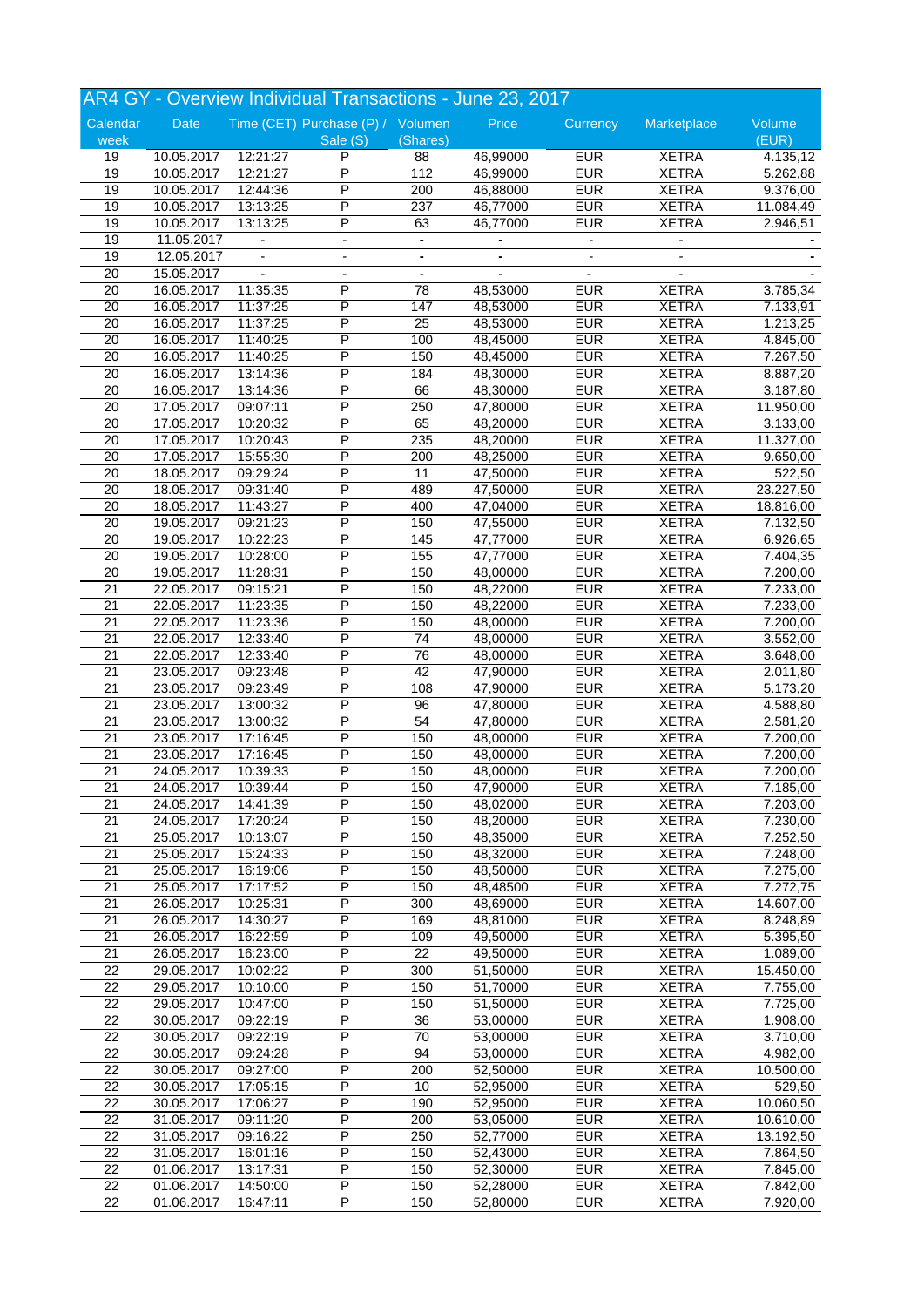|                 |            |          | AR4 GY - Overview Individual Transactions - June 23, 2017 |                 |          |            |                          |           |
|-----------------|------------|----------|-----------------------------------------------------------|-----------------|----------|------------|--------------------------|-----------|
| Calendar        | Date       |          | Time (CET) Purchase (P) / Volumen                         |                 | Price    | Currency   | Marketplace              | Volume    |
| week            |            |          | Sale (S)                                                  | (Shares)        |          |            |                          | (EUR)     |
| 19              | 10.05.2017 | 12:21:27 | P                                                         | 88              | 46,99000 | <b>EUR</b> | <b>XETRA</b>             | 4.135,12  |
| 19              | 10.05.2017 | 12:21:27 | P                                                         | 112             | 46,99000 | <b>EUR</b> | <b>XETRA</b>             | 5.262,88  |
| 19              | 10.05.2017 | 12:44:36 | P                                                         | 200             | 46,88000 | <b>EUR</b> | <b>XETRA</b>             | 9.376,00  |
| 19              | 10.05.2017 | 13:13:25 | P                                                         | 237             | 46,77000 | <b>EUR</b> | <b>XETRA</b>             | 11.084,49 |
| 19              | 10.05.2017 | 13:13:25 | P                                                         | 63              | 46,77000 | <b>EUR</b> | <b>XETRA</b>             | 2.946,51  |
| 19              | 11.05.2017 |          | $\overline{\phantom{a}}$                                  | $\blacksquare$  |          |            |                          |           |
| 19              | 12.05.2017 |          | $\overline{\phantom{a}}$                                  | $\blacksquare$  |          |            | $\overline{\phantom{a}}$ |           |
| 20              | 15.05.2017 |          |                                                           |                 |          |            |                          |           |
| 20              | 16.05.2017 | 11:35:35 | P                                                         | 78              | 48,53000 | <b>EUR</b> | <b>XETRA</b>             | 3.785,34  |
|                 |            |          | P                                                         |                 |          |            |                          |           |
| 20              | 16.05.2017 | 11:37:25 |                                                           | 147             | 48,53000 | <b>EUR</b> | <b>XETRA</b>             | 7.133,91  |
| $\overline{20}$ | 16.05.2017 | 11:37:25 | P                                                         | $\overline{25}$ | 48,53000 | <b>EUR</b> | <b>XETRA</b>             | 1.213,25  |
| 20              | 16.05.2017 | 11:40:25 | P                                                         | 100             | 48,45000 | <b>EUR</b> | <b>XETRA</b>             | 4.845,00  |
| 20              | 16.05.2017 | 11:40:25 | P                                                         | 150             | 48,45000 | <b>EUR</b> | <b>XETRA</b>             | 7.267,50  |
| 20              | 16.05.2017 | 13:14:36 | P                                                         | 184             | 48,30000 | <b>EUR</b> | <b>XETRA</b>             | 8.887,20  |
| 20              | 16.05.2017 | 13:14:36 | P                                                         | 66              | 48,30000 | <b>EUR</b> | <b>XETRA</b>             | 3.187,80  |
| 20              | 17.05.2017 | 09:07:11 | P                                                         | 250             | 47,80000 | <b>EUR</b> | <b>XETRA</b>             | 11.950,00 |
| 20              | 17.05.2017 | 10:20:32 | P                                                         | 65              | 48,20000 | <b>EUR</b> | <b>XETRA</b>             | 3.133,00  |
| 20              | 17.05.2017 | 10:20:43 | P                                                         | 235             | 48,20000 | EUR        | <b>XETRA</b>             | 11.327,00 |
| $\overline{20}$ | 17.05.2017 | 15:55:30 | P                                                         | 200             | 48,25000 | <b>EUR</b> | <b>XETRA</b>             | 9.650,00  |
| 20              | 18.05.2017 | 09:29:24 | P                                                         | 11              | 47,50000 | <b>EUR</b> | <b>XETRA</b>             | 522,50    |
| 20              | 18.05.2017 | 09:31:40 | P                                                         | 489             | 47,50000 | <b>EUR</b> | <b>XETRA</b>             | 23.227,50 |
| 20              | 18.05.2017 | 11:43:27 | P                                                         | 400             | 47,04000 | <b>EUR</b> | <b>XETRA</b>             | 18.816,00 |
| $\overline{20}$ | 19.05.2017 | 09:21:23 | P                                                         | 150             | 47,55000 | <b>EUR</b> | <b>XETRA</b>             | 7.132,50  |
| 20              | 19.05.2017 | 10:22:23 | P                                                         | 145             | 47,77000 | <b>EUR</b> | <b>XETRA</b>             | 6.926,65  |
| 20              | 19.05.2017 | 10:28:00 | Ρ                                                         | 155             | 47,77000 | <b>EUR</b> | <b>XETRA</b>             | 7.404,35  |
| 20              | 19.05.2017 | 11:28:31 | P                                                         | 150             | 48,00000 | <b>EUR</b> | <b>XETRA</b>             | 7.200,00  |
| $\overline{21}$ | 22.05.2017 | 09:15:21 | P                                                         | 150             | 48,22000 | <b>EUR</b> | <b>XETRA</b>             | 7.233,00  |
| 21              | 22.05.2017 | 11:23:35 | P                                                         | 150             | 48,22000 | <b>EUR</b> | <b>XETRA</b>             | 7.233,00  |
| 21              | 22.05.2017 | 11:23:36 | P                                                         | 150             | 48,00000 | <b>EUR</b> | <b>XETRA</b>             | 7.200,00  |
| 21              | 22.05.2017 | 12:33:40 | P                                                         | 74              | 48,00000 | <b>EUR</b> | <b>XETRA</b>             | 3.552,00  |
| 21              | 22.05.2017 | 12:33:40 | P                                                         | 76              | 48,00000 | <b>EUR</b> | <b>XETRA</b>             |           |
|                 |            |          | P                                                         | 42              |          | <b>EUR</b> |                          | 3.648,00  |
| $\overline{21}$ | 23.05.2017 | 09:23:48 |                                                           |                 | 47,90000 |            | <b>XETRA</b>             | 2.011,80  |
| 21              | 23.05.2017 | 09:23:49 | Ρ                                                         | 108             | 47,90000 | <b>EUR</b> | <b>XETRA</b>             | 5.173,20  |
| 21              | 23.05.2017 | 13:00:32 | Ρ                                                         | 96              | 47,80000 | <b>EUR</b> | <b>XETRA</b>             | 4.588,80  |
| $\overline{21}$ | 23.05.2017 | 13:00:32 | P                                                         | 54              | 47,80000 | <b>EUR</b> | <b>XETRA</b>             | 2.581,20  |
| 21              | 23.05.2017 | 17:16:45 | P                                                         | 150             | 48,00000 | <b>EUR</b> | <b>XETRA</b>             | 7.200,00  |
| 21              | 23.05.2017 | 17:16:45 | P                                                         | 150             | 48,00000 | <b>EUR</b> | <b>XETRA</b>             | 7.200,00  |
| 21              | 24.05.2017 | 10:39:33 | P                                                         | 150             | 48,00000 | <b>EUR</b> | <b>XETRA</b>             | 7.200,00  |
| $\overline{21}$ | 24.05.2017 | 10:39:44 |                                                           | 150             | 47,90000 | <b>EUR</b> | <b>XETRA</b>             | 7.185,00  |
| 21              | 24.05.2017 | 14:41:39 | P                                                         | 150             | 48,02000 | <b>EUR</b> | <b>XETRA</b>             | 7.203,00  |
| 21              | 24.05.2017 | 17:20:24 | Ρ                                                         | 150             | 48,20000 | <b>EUR</b> | <b>XETRA</b>             | 7.230,00  |
| 21              | 25.05.2017 | 10:13:07 | Ρ                                                         | 150             | 48,35000 | <b>EUR</b> | <b>XETRA</b>             | 7.252,50  |
| 21              | 25.05.2017 | 15:24:33 | Ρ                                                         | 150             | 48,32000 | <b>EUR</b> | <b>XETRA</b>             | 7.248,00  |
| $\overline{21}$ | 25.05.2017 | 16:19:06 | P                                                         | 150             | 48,50000 | <b>EUR</b> | <b>XETRA</b>             | 7.275,00  |
| 21              | 25.05.2017 | 17:17:52 | P                                                         | 150             | 48,48500 | <b>EUR</b> | <b>XETRA</b>             | 7.272,75  |
| 21              | 26.05.2017 | 10:25:31 | P                                                         | 300             | 48,69000 | <b>EUR</b> | <b>XETRA</b>             | 14.607,00 |
| 21              | 26.05.2017 | 14:30:27 | Ρ                                                         | 169             | 48,81000 | <b>EUR</b> | <b>XETRA</b>             | 8.248,89  |
| 21              | 26.05.2017 | 16:22:59 | P                                                         | 109             | 49,50000 | <b>EUR</b> | <b>XETRA</b>             | 5.395,50  |
| 21              | 26.05.2017 | 16:23:00 | P                                                         | 22              | 49,50000 | <b>EUR</b> | <b>XETRA</b>             | 1.089,00  |
| 22              | 29.05.2017 | 10:02:22 | Ρ                                                         | 300             | 51,50000 | <b>EUR</b> | <b>XETRA</b>             | 15.450,00 |
| 22              | 29.05.2017 | 10:10:00 | Ρ                                                         | 150             | 51,70000 | <b>EUR</b> | <b>XETRA</b>             | 7.755,00  |
|                 |            |          |                                                           |                 |          |            |                          |           |
| 22              | 29.05.2017 | 10:47:00 | Ρ                                                         | 150             | 51,50000 | <b>EUR</b> | <b>XETRA</b>             | 7.725,00  |
| $\overline{22}$ | 30.05.2017 | 09:22:19 | P                                                         | 36              | 53,00000 | <b>EUR</b> | <b>XETRA</b>             | 1.908,00  |
| 22              | 30.05.2017 | 09:22:19 | P                                                         | 70              | 53,00000 | <b>EUR</b> | <b>XETRA</b>             | 3.710,00  |
| 22              | 30.05.2017 | 09:24:28 | P                                                         | 94              | 53,00000 | <b>EUR</b> | <b>XETRA</b>             | 4.982,00  |
| $\overline{22}$ | 30.05.2017 | 09:27:00 | Ρ                                                         | 200             | 52,50000 | <b>EUR</b> | <b>XETRA</b>             | 10.500,00 |
| 22              | 30.05.2017 | 17:05:15 | P                                                         | $10$            | 52,95000 | <b>EUR</b> | <b>XETRA</b>             | 529,50    |
| 22              | 30.05.2017 | 17:06:27 | P                                                         | 190             | 52,95000 | <b>EUR</b> | <b>XETRA</b>             | 10.060,50 |
| $\overline{22}$ | 31.05.2017 | 09:11:20 | P                                                         | 200             | 53,05000 | <b>EUR</b> | <b>XETRA</b>             | 10.610,00 |
| 22              | 31.05.2017 | 09:16:22 | P                                                         | 250             | 52,77000 | <b>EUR</b> | <b>XETRA</b>             | 13.192,50 |
| 22              | 31.05.2017 | 16:01:16 | Ρ                                                         | 150             | 52,43000 | <b>EUR</b> | <b>XETRA</b>             | 7.864,50  |
| 22              | 01.06.2017 | 13:17:31 | P                                                         | 150             | 52,30000 | <b>EUR</b> | <b>XETRA</b>             | 7.845,00  |
| 22              | 01.06.2017 | 14:50:00 | P                                                         | 150             | 52,28000 | <b>EUR</b> | <b>XETRA</b>             | 7.842,00  |
| $\overline{22}$ | 01.06.2017 | 16:47:11 | P                                                         | 150             | 52,80000 | <b>EUR</b> | <b>XETRA</b>             | 7.920,00  |
|                 |            |          |                                                           |                 |          |            |                          |           |